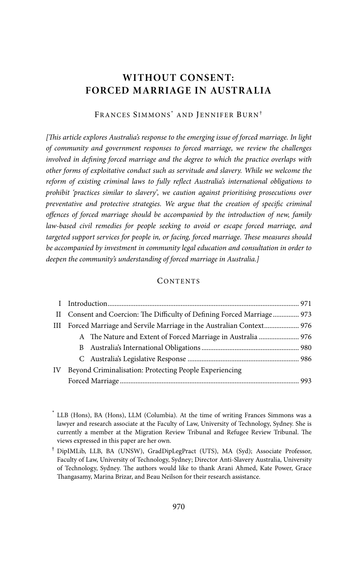# **WITHOUT CONSENT: FORCED MARRIAGE IN AUSTRALIA**

FRANCES SIMMONS<sup>\*</sup> AND JENNIFER BURN<sup>†</sup>

*[This article explores Australia's response to the emerging issue of forced marriage. In light of community and government responses to forced marriage, we review the challenges involved in defining forced marriage and the degree to which the practice overlaps with other forms of exploitative conduct such as servitude and slavery. While we welcome the reform of existing criminal laws to fully reflect Australia's international obligations to prohibit 'practices similar to slavery', we caution against prioritising prosecutions over preventative and protective strategies. We argue that the creation of specific criminal offences of forced marriage should be accompanied by the introduction of new, family law-based civil remedies for people seeking to avoid or escape forced marriage, and targeted support services for people in, or facing, forced marriage. These measures should be accompanied by investment in community legal education and consultation in order to deepen the community's understanding of forced marriage in Australia.]* 

#### **CONTENTS**

|    | II Consent and Coercion: The Difficulty of Defining Forced Marriage 973 |  |  |
|----|-------------------------------------------------------------------------|--|--|
|    | III Forced Marriage and Servile Marriage in the Australian Context 976  |  |  |
|    | A The Nature and Extent of Forced Marriage in Australia  976            |  |  |
|    |                                                                         |  |  |
|    |                                                                         |  |  |
| IV | Beyond Criminalisation: Protecting People Experiencing                  |  |  |
|    |                                                                         |  |  |

<sup>\*</sup> LLB (Hons), BA (Hons), LLM (Columbia). At the time of writing Frances Simmons was a lawyer and research associate at the Faculty of Law, University of Technology, Sydney. She is currently a member at the Migration Review Tribunal and Refugee Review Tribunal. The views expressed in this paper are her own.

 <sup>†</sup> DipIMLib, LLB, BA (UNSW), GradDipLegPract (UTS), MA (Syd); Associate Professor, Faculty of Law, University of Technology, Sydney; Director Anti-Slavery Australia, University of Technology, Sydney. The authors would like to thank Arani Ahmed, Kate Power, Grace Thangasamy, Marina Brizar, and Beau Neilson for their research assistance.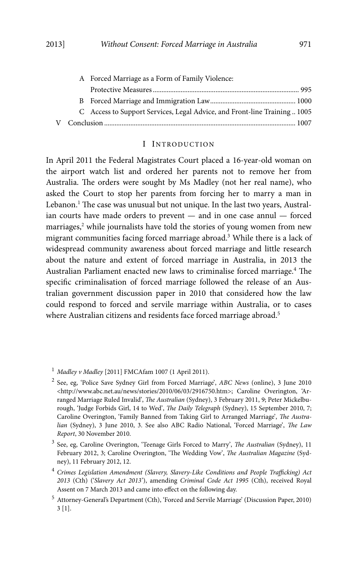|  | A Forced Marriage as a Form of Family Violence:                           |
|--|---------------------------------------------------------------------------|
|  |                                                                           |
|  |                                                                           |
|  | C Access to Support Services, Legal Advice, and Front-line Training  1005 |
|  |                                                                           |

#### I INTRODUCTION

In April 2011 the Federal Magistrates Court placed a 16-year-old woman on the airport watch list and ordered her parents not to remove her from Australia. The orders were sought by Ms Madley (not her real name), who asked the Court to stop her parents from forcing her to marry a man in Lebanon.<sup>1</sup> The case was unusual but not unique. In the last two years, Australian courts have made orders to prevent — and in one case annul — forced marriages,<sup>2</sup> while journalists have told the stories of young women from new migrant communities facing forced marriage abroad.<sup>3</sup> While there is a lack of widespread community awareness about forced marriage and little research about the nature and extent of forced marriage in Australia, in 2013 the Australian Parliament enacted new laws to criminalise forced marriage.<sup>4</sup> The specific criminalisation of forced marriage followed the release of an Australian government discussion paper in 2010 that considered how the law could respond to forced and servile marriage within Australia, or to cases where Australian citizens and residents face forced marriage abroad.<sup>5</sup>

<sup>4</sup> *Crimes Legislation Amendment (Slavery, Slavery-Like Conditions and People Trafficking) Act 2013* (Cth) ('*Slavery Act 2013*'), amending *Criminal Code Act 1995* (Cth), received Royal Assent on 7 March 2013 and came into effect on the following day.

<sup>1</sup>  *Madley v Madley* [2011] FMCAfam 1007 (1 April 2011).

<sup>2</sup> See, eg, 'Police Save Sydney Girl from Forced Marriage', *ABC News* (online), 3 June 2010 <http://www.abc.net.au/news/stories/2010/06/03/2916750.htm>; Caroline Overington, 'Arranged Marriage Ruled Invalid', *The Australian* (Sydney), 3 February 2011, 9; Peter Mickelburough, 'Judge Forbids Girl, 14 to Wed', *The Daily Telegraph* (Sydney), 15 September 2010, 7; Caroline Overington, 'Family Banned from Taking Girl to Arranged Marriage', *The Australian* (Sydney), 3 June 2010, 3. See also ABC Radio National, 'Forced Marriage', *The Law Report*, 30 November 2010.

<sup>3</sup> See, eg, Caroline Overington, 'Teenage Girls Forced to Marry', *The Australian* (Sydney), 11 February 2012, 3; Caroline Overington, 'The Wedding Vow', *The Australian Magazine* (Sydney), 11 February 2012, 12.

<sup>5</sup> Attorney-General's Department (Cth), 'Forced and Servile Marriage' (Discussion Paper, 2010) 3 [1].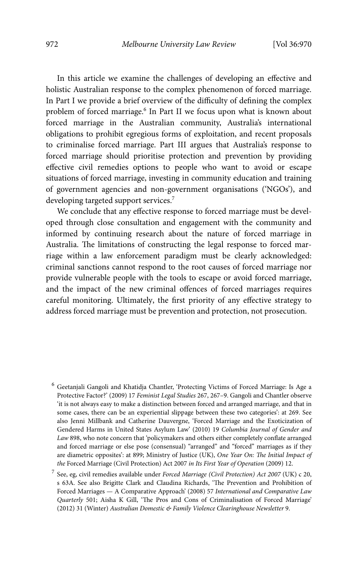In this article we examine the challenges of developing an effective and holistic Australian response to the complex phenomenon of forced marriage. In Part I we provide a brief overview of the difficulty of defining the complex problem of forced marriage.<sup>6</sup> In Part II we focus upon what is known about forced marriage in the Australian community, Australia's international obligations to prohibit egregious forms of exploitation, and recent proposals to criminalise forced marriage. Part III argues that Australia's response to forced marriage should prioritise protection and prevention by providing effective civil remedies options to people who want to avoid or escape situations of forced marriage, investing in community education and training of government agencies and non-government organisations ('NGOs'), and developing targeted support services.7

We conclude that any effective response to forced marriage must be developed through close consultation and engagement with the community and informed by continuing research about the nature of forced marriage in Australia. The limitations of constructing the legal response to forced marriage within a law enforcement paradigm must be clearly acknowledged: criminal sanctions cannot respond to the root causes of forced marriage nor provide vulnerable people with the tools to escape or avoid forced marriage, and the impact of the new criminal offences of forced marriages requires careful monitoring. Ultimately, the first priority of any effective strategy to address forced marriage must be prevention and protection, not prosecution.

<sup>&</sup>lt;sup>6</sup> Geetanjali Gangoli and Khatidja Chantler, 'Protecting Victims of Forced Marriage: Is Age a Protective Factor?' (2009) 17 *Feminist Legal Studies* 267, 267–9. Gangoli and Chantler observe 'it is not always easy to make a distinction between forced and arranged marriage, and that in some cases, there can be an experiential slippage between these two categories': at 269. See also Jenni Millbank and Catherine Dauvergne, 'Forced Marriage and the Exoticization of Gendered Harms in United States Asylum Law' (2010) 19 *Columbia Journal of Gender and Law* 898, who note concern that 'policymakers and others either completely conflate arranged and forced marriage or else pose (consensual) "arranged" and "forced" marriages as if they are diametric opposites': at 899; Ministry of Justice (UK), *One Year On: The Initial Impact of the* Forced Marriage (Civil Protection) Act 2007 *in Its First Year of Operation* (2009) 12.

<sup>7</sup> See, eg, civil remedies available under *Forced Marriage (Civil Protection) Act 2007* (UK) c 20, s 63A. See also Brigitte Clark and Claudina Richards, 'The Prevention and Prohibition of Forced Marriages — A Comparative Approach' (2008) 57 *International and Comparative Law Quarterly* 501; Aisha K Gill, 'The Pros and Cons of Criminalisation of Forced Marriage' (2012) 31 (Winter) *Australian Domestic & Family Violence Clearinghouse Newsletter* 9.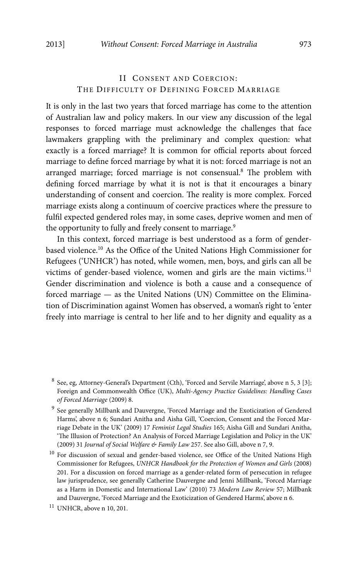## II CONSENT AND COERCION: THE DIFFICULTY OF DEFINING FORCED MARRIAGE

It is only in the last two years that forced marriage has come to the attention of Australian law and policy makers. In our view any discussion of the legal responses to forced marriage must acknowledge the challenges that face lawmakers grappling with the preliminary and complex question: what exactly is a forced marriage? It is common for official reports about forced marriage to define forced marriage by what it is not: forced marriage is not an arranged marriage; forced marriage is not consensual.<sup>8</sup> The problem with defining forced marriage by what it is not is that it encourages a binary understanding of consent and coercion. The reality is more complex. Forced marriage exists along a continuum of coercive practices where the pressure to fulfil expected gendered roles may, in some cases, deprive women and men of the opportunity to fully and freely consent to marriage.<sup>9</sup>

In this context, forced marriage is best understood as a form of genderbased violence.10 As the Office of the United Nations High Commissioner for Refugees ('UNHCR') has noted, while women, men, boys, and girls can all be victims of gender-based violence, women and girls are the main victims.<sup>11</sup> Gender discrimination and violence is both a cause and a consequence of forced marriage — as the United Nations (UN) Committee on the Elimination of Discrimination against Women has observed, a woman's right to 'enter freely into marriage is central to her life and to her dignity and equality as a

<sup>&</sup>lt;sup>8</sup> See, eg, Attorney-General's Department (Cth), 'Forced and Servile Marriage', above n 5, 3 [3]; Foreign and Commonwealth Office (UK), *Multi-Agency Practice Guidelines: Handling Cases of Forced Marriage* (2009) 8.

<sup>&</sup>lt;sup>9</sup> See generally Millbank and Dauvergne, 'Forced Marriage and the Exoticization of Gendered Harms', above n 6; Sundari Anitha and Aisha Gill, 'Coercion, Consent and the Forced Marriage Debate in the UK' (2009) 17 *Feminist Legal Studies* 165; Aisha Gill and Sundari Anitha, 'The Illusion of Protection? An Analysis of Forced Marriage Legislation and Policy in the UK' (2009) 31 *Journal of Social Welfare & Family Law* 257. See also Gill, above n 7, 9.

<sup>&</sup>lt;sup>10</sup> For discussion of sexual and gender-based violence, see Office of the United Nations High Commissioner for Refugees, *UNHCR Handbook for the Protection of Women and Girls* (2008) 201. For a discussion on forced marriage as a gender-related form of persecution in refugee law jurisprudence, see generally Catherine Dauvergne and Jenni Millbank, 'Forced Marriage as a Harm in Domestic and International Law' (2010) 73 *Modern Law Review* 57; Millbank and Dauvergne, 'Forced Marriage and the Exoticization of Gendered Harms', above n 6.

<sup>11</sup> UNHCR, above n 10, 201.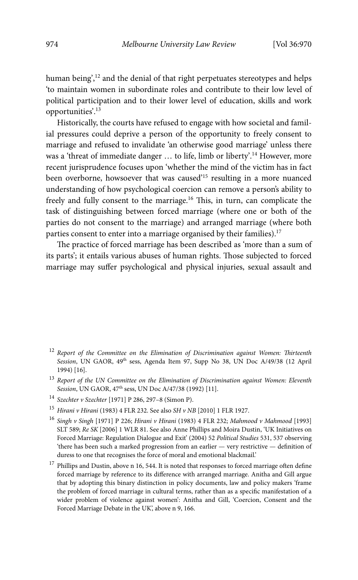human being',<sup>12</sup> and the denial of that right perpetuates stereotypes and helps 'to maintain women in subordinate roles and contribute to their low level of political participation and to their lower level of education, skills and work opportunities'.13

Historically, the courts have refused to engage with how societal and familial pressures could deprive a person of the opportunity to freely consent to marriage and refused to invalidate 'an otherwise good marriage' unless there was a 'threat of immediate danger ... to life, limb or liberty'.<sup>14</sup> However, more recent jurisprudence focuses upon 'whether the mind of the victim has in fact been overborne, howsoever that was caused'15 resulting in a more nuanced understanding of how psychological coercion can remove a person's ability to freely and fully consent to the marriage.<sup>16</sup> This, in turn, can complicate the task of distinguishing between forced marriage (where one or both of the parties do not consent to the marriage) and arranged marriage (where both parties consent to enter into a marriage organised by their families).<sup>17</sup>

The practice of forced marriage has been described as 'more than a sum of its parts'; it entails various abuses of human rights. Those subjected to forced marriage may suffer psychological and physical injuries, sexual assault and

- <sup>12</sup> *Report of the Committee on the Elimination of Discrimination against Women: Thirteenth*  Session, UN GAOR, 49<sup>th</sup> sess, Agenda Item 97, Supp No 38, UN Doc A/49/38 (12 April 1994) [16].
- <sup>13</sup> *Report of the UN Committee on the Elimination of Discrimination against Women: Eleventh Session*, UN GAOR,  $47<sup>th</sup>$  sess, UN Doc A/47/38 (1992) [11].
- <sup>14</sup> *Szechter v Szechter* [1971] P 286, 297–8 (Simon P).
- <sup>15</sup> *Hirani v Hirani* (1983) 4 FLR 232. See also *SH v NB* [2010] 1 FLR 1927.
- <sup>16</sup> *Singh v Singh* [1971] P 226; *Hirani v Hirani* (1983) 4 FLR 232; *Mahmood v Mahmood* [1993] SLT 589; *Re SK* [2006] 1 WLR 81. See also Anne Phillips and Moira Dustin, 'UK Initiatives on Forced Marriage: Regulation Dialogue and Exit' (2004) 52 *Political Studies* 531, 537 observing 'there has been such a marked progression from an earlier — very restrictive — definition of duress to one that recognises the force of moral and emotional blackmail.'
- <sup>17</sup> Phillips and Dustin, above n 16, 544. It is noted that responses to forced marriage often define forced marriage by reference to its difference with arranged marriage. Anitha and Gill argue that by adopting this binary distinction in policy documents, law and policy makers 'frame the problem of forced marriage in cultural terms, rather than as a specific manifestation of a wider problem of violence against women': Anitha and Gill, 'Coercion, Consent and the Forced Marriage Debate in the UK', above n 9, 166.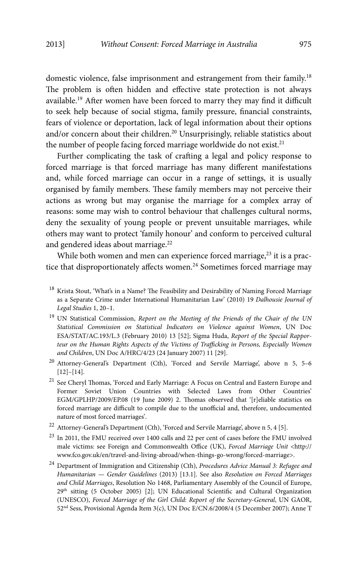domestic violence, false imprisonment and estrangement from their family.<sup>18</sup> The problem is often hidden and effective state protection is not always available.19 After women have been forced to marry they may find it difficult to seek help because of social stigma, family pressure, financial constraints, fears of violence or deportation, lack of legal information about their options and/or concern about their children.<sup>20</sup> Unsurprisingly, reliable statistics about the number of people facing forced marriage worldwide do not exist.<sup>21</sup>

Further complicating the task of crafting a legal and policy response to forced marriage is that forced marriage has many different manifestations and, while forced marriage can occur in a range of settings, it is usually organised by family members. These family members may not perceive their actions as wrong but may organise the marriage for a complex array of reasons: some may wish to control behaviour that challenges cultural norms, deny the sexuality of young people or prevent unsuitable marriages, while others may want to protect 'family honour' and conform to perceived cultural and gendered ideas about marriage.<sup>22</sup>

While both women and men can experience forced marriage, $23$  it is a practice that disproportionately affects women.<sup>24</sup> Sometimes forced marriage may

- <sup>18</sup> Krista Stout, 'What's in a Name? The Feasibility and Desirability of Naming Forced Marriage as a Separate Crime under International Humanitarian Law' (2010) 19 *Dalhousie Journal of Legal Studies* 1, 20–1.
- 19 UN Statistical Commission, *Report on the Meeting of the Friends of the Chair of the UN Statistical Commission on Statistical Indicators on Violence against Women*, UN Doc ESA/STAT/AC.193/L.3 (February 2010) 13 [52]; Sigma Huda, *Report of the Special Rapporteur on the Human Rights Aspects of the Victims of Trafficking in Persons, Especially Women and Children*, UN Doc A/HRC/4/23 (24 January 2007) 11 [29].
- <sup>20</sup> Attorney-General's Department (Cth), 'Forced and Servile Marriage', above n 5, 5-6 [12]–[14].
- $^\mathrm{21}$  See Cheryl Thomas, 'Forced and Early Marriage: A Focus on Central and Eastern Europe and Former Soviet Union Countries with Selected Laws from Other Countries' EGM/GPLHP/2009/EP.08 (19 June 2009) 2. Thomas observed that '[r]eliable statistics on forced marriage are difficult to compile due to the unofficial and, therefore, undocumented nature of most forced marriages'.
- $^{22}$  Attorney-General's Department (Cth), 'Forced and Servile Marriage', above n 5, 4 [5].
- $23$  In 2011, the FMU received over 1400 calls and 22 per cent of cases before the FMU involved male victims: see Foreign and Commonwealth Office (UK), *Forced Marriage Unit* <http:// www.fco.gov.uk/en/travel-and-living-abroad/when-things-go-wrong/forced-marriage>.
- 24 Department of Immigration and Citizenship (Cth), *Procedures Advice Manual 3: Refugee and Humanitarian — Gender Guidelines* (2013) [13.1]. See also *Resolution on Forced Marriages and Child Marriages*, Resolution No 1468, Parliamentary Assembly of the Council of Europe,  $29<sup>th</sup>$  sitting (5 October 2005) [2]; UN Educational Scientific and Cultural Organization (UNESCO), *Forced Marriage of the Girl Child: Report of the Secretary-General*, UN GAOR, 52nd Sess, Provisional Agenda Item 3(c), UN Doc E/CN.6/2008/4 (5 December 2007); Anne T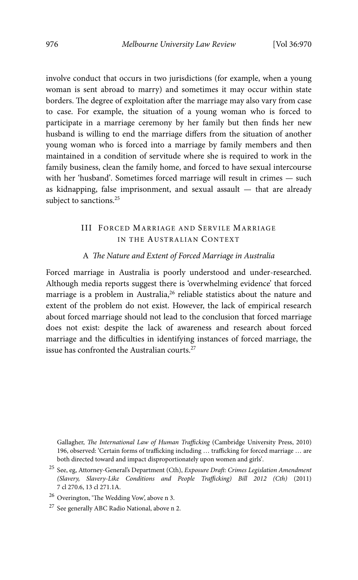involve conduct that occurs in two jurisdictions (for example, when a young woman is sent abroad to marry) and sometimes it may occur within state borders. The degree of exploitation after the marriage may also vary from case to case. For example, the situation of a young woman who is forced to participate in a marriage ceremony by her family but then finds her new husband is willing to end the marriage differs from the situation of another young woman who is forced into a marriage by family members and then maintained in a condition of servitude where she is required to work in the family business, clean the family home, and forced to have sexual intercourse with her 'husband'. Sometimes forced marriage will result in crimes — such as kidnapping, false imprisonment, and sexual assault — that are already subject to sanctions.<sup>25</sup>

### III FORCED MARRIAGE AND SERVILE MARRIAGE IN THE AUSTRALIAN CONTEXT

#### A *The Nature and Extent of Forced Marriage in Australia*

Forced marriage in Australia is poorly understood and under-researched. Although media reports suggest there is 'overwhelming evidence' that forced marriage is a problem in Australia,<sup>26</sup> reliable statistics about the nature and extent of the problem do not exist. However, the lack of empirical research about forced marriage should not lead to the conclusion that forced marriage does not exist: despite the lack of awareness and research about forced marriage and the difficulties in identifying instances of forced marriage, the issue has confronted the Australian courts.27

Gallagher, *The International Law of Human Trafficking* (Cambridge University Press, 2010) 196, observed: 'Certain forms of trafficking including … trafficking for forced marriage … are both directed toward and impact disproportionately upon women and girls'.

<sup>25</sup> See, eg, Attorney-General's Department (Cth), *Exposure Draft: Crimes Legislation Amendment (Slavery, Slavery-Like Conditions and People Trafficking) Bill 2012 (Cth)* (2011) 7 cl 270.6, 13 cl 271.1A.

<sup>26</sup> Overington, 'The Wedding Vow', above n 3.

<sup>&</sup>lt;sup>27</sup> See generally ABC Radio National, above n 2.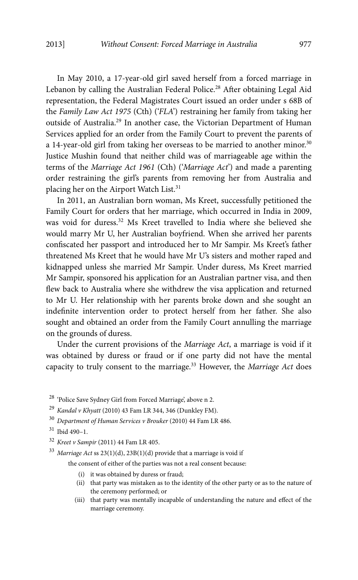In May 2010, a 17-year-old girl saved herself from a forced marriage in Lebanon by calling the Australian Federal Police.<sup>28</sup> After obtaining Legal Aid representation, the Federal Magistrates Court issued an order under s 68B of the *Family Law Act 1975* (Cth) ('*FLA*') restraining her family from taking her outside of Australia.29 In another case, the Victorian Department of Human Services applied for an order from the Family Court to prevent the parents of a 14-year-old girl from taking her overseas to be married to another minor.<sup>30</sup> Justice Mushin found that neither child was of marriageable age within the terms of the *Marriage Act 1961* (Cth) ('*Marriage Act*') and made a parenting order restraining the girl's parents from removing her from Australia and placing her on the Airport Watch List.31

In 2011, an Australian born woman, Ms Kreet, successfully petitioned the Family Court for orders that her marriage, which occurred in India in 2009, was void for duress.32 Ms Kreet travelled to India where she believed she would marry Mr U, her Australian boyfriend. When she arrived her parents confiscated her passport and introduced her to Mr Sampir. Ms Kreet's father threatened Ms Kreet that he would have Mr U's sisters and mother raped and kidnapped unless she married Mr Sampir. Under duress, Ms Kreet married Mr Sampir, sponsored his application for an Australian partner visa, and then flew back to Australia where she withdrew the visa application and returned to Mr U. Her relationship with her parents broke down and she sought an indefinite intervention order to protect herself from her father. She also sought and obtained an order from the Family Court annulling the marriage on the grounds of duress.

Under the current provisions of the *Marriage Act*, a marriage is void if it was obtained by duress or fraud or if one party did not have the mental capacity to truly consent to the marriage.33 However, the *Marriage Act* does

<sup>28</sup> 'Police Save Sydney Girl from Forced Marriage', above n 2.

<sup>29</sup> *Kandal v Khyatt* (2010) 43 Fam LR 344, 346 (Dunkley FM).

<sup>30</sup> *Department of Human Services v Brouker* (2010) 44 Fam LR 486.

 $31$  Ibid 490-1.

<sup>32</sup> *Kreet v Sampir* (2011) 44 Fam LR 405.

<sup>33</sup> *Marriage Act* ss 23(1)(d), 23B(1)(d) provide that a marriage is void if

the consent of either of the parties was not a real consent because:

- (i) it was obtained by duress or fraud;
- (ii) that party was mistaken as to the identity of the other party or as to the nature of the ceremony performed; or
- (iii) that party was mentally incapable of understanding the nature and effect of the marriage ceremony.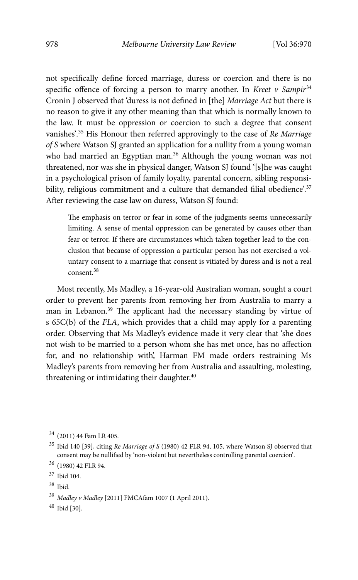not specifically define forced marriage, duress or coercion and there is no specific offence of forcing a person to marry another. In *Kreet v Sampir*<sup>34</sup> Cronin J observed that 'duress is not defined in [the] *Marriage Act* but there is no reason to give it any other meaning than that which is normally known to the law. It must be oppression or coercion to such a degree that consent vanishes'.35 His Honour then referred approvingly to the case of *Re Marriage of S* where Watson SJ granted an application for a nullity from a young woman who had married an Egyptian man.<sup>36</sup> Although the young woman was not threatened, nor was she in physical danger, Watson SJ found '[s]he was caught in a psychological prison of family loyalty, parental concern, sibling responsibility, religious commitment and a culture that demanded filial obedience'.<sup>37</sup> After reviewing the case law on duress, Watson SJ found:

The emphasis on terror or fear in some of the judgments seems unnecessarily limiting. A sense of mental oppression can be generated by causes other than fear or terror. If there are circumstances which taken together lead to the conclusion that because of oppression a particular person has not exercised a voluntary consent to a marriage that consent is vitiated by duress and is not a real consent.<sup>38</sup>

Most recently, Ms Madley, a 16-year-old Australian woman, sought a court order to prevent her parents from removing her from Australia to marry a man in Lebanon.<sup>39</sup> The applicant had the necessary standing by virtue of s 65C(b) of the *FLA*, which provides that a child may apply for a parenting order. Observing that Ms Madley's evidence made it very clear that 'she does not wish to be married to a person whom she has met once, has no affection for, and no relationship with', Harman FM made orders restraining Ms Madley's parents from removing her from Australia and assaulting, molesting, threatening or intimidating their daughter.<sup>40</sup>

40 Ibid [30].

<sup>34</sup> (2011) 44 Fam LR 405.

<sup>35</sup> Ibid 140 [39], citing *Re Marriage of S* (1980) 42 FLR 94, 105, where Watson SJ observed that consent may be nullified by 'non-violent but nevertheless controlling parental coercion'.

<sup>36 (1980) 42</sup> FLR 94.

<sup>37</sup> Ibid 104.

<sup>38</sup> Ibid.

<sup>39</sup> *Madley v Madley* [2011] FMCAfam 1007 (1 April 2011).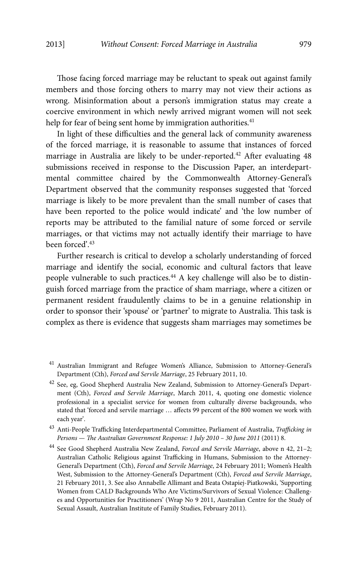Those facing forced marriage may be reluctant to speak out against family members and those forcing others to marry may not view their actions as wrong. Misinformation about a person's immigration status may create a coercive environment in which newly arrived migrant women will not seek help for fear of being sent home by immigration authorities.<sup>41</sup>

In light of these difficulties and the general lack of community awareness of the forced marriage, it is reasonable to assume that instances of forced marriage in Australia are likely to be under-reported.<sup>42</sup> After evaluating 48 submissions received in response to the Discussion Paper, an interdepartmental committee chaired by the Commonwealth Attorney-General's Department observed that the community responses suggested that 'forced marriage is likely to be more prevalent than the small number of cases that have been reported to the police would indicate' and 'the low number of reports may be attributed to the familial nature of some forced or servile marriages, or that victims may not actually identify their marriage to have been forced'.<sup>43</sup>

Further research is critical to develop a scholarly understanding of forced marriage and identify the social, economic and cultural factors that leave people vulnerable to such practices.<sup>44</sup> A key challenge will also be to distinguish forced marriage from the practice of sham marriage, where a citizen or permanent resident fraudulently claims to be in a genuine relationship in order to sponsor their 'spouse' or 'partner' to migrate to Australia. This task is complex as there is evidence that suggests sham marriages may sometimes be

<sup>&</sup>lt;sup>41</sup> Australian Immigrant and Refugee Women's Alliance, Submission to Attorney-General's Department (Cth), *Forced and Servile Marriage*, 25 February 2011, 10.

 $42$  See, eg, Good Shepherd Australia New Zealand, Submission to Attorney-General's Department (Cth), *Forced and Servile Marriage*, March 2011, 4, quoting one domestic violence professional in a specialist service for women from culturally diverse backgrounds, who stated that 'forced and servile marriage … affects 99 percent of the 800 women we work with each year'.

<sup>43</sup> Anti-People Trafficking Interdepartmental Committee, Parliament of Australia, *Trafficking in Persons — The Australian Government Response: 1 July 2010 – 30 June 2011* (2011) 8.

<sup>44</sup> See Good Shepherd Australia New Zealand, *Forced and Servile Marriage*, above n 42, 21–2; Australian Catholic Religious against Trafficking in Humans, Submission to the Attorney-General's Department (Cth), *Forced and Servile Marriage*, 24 February 2011; Women's Health West, Submission to the Attorney-General's Department (Cth), *Forced and Servile Marriage*, 21 February 2011, 3. See also Annabelle Allimant and Beata Ostapiej-Piatkowski, 'Supporting Women from CALD Backgrounds Who Are Victims/Survivors of Sexual Violence: Challenges and Opportunities for Practitioners' (Wrap No 9 2011, Australian Centre for the Study of Sexual Assault, Australian Institute of Family Studies, February 2011).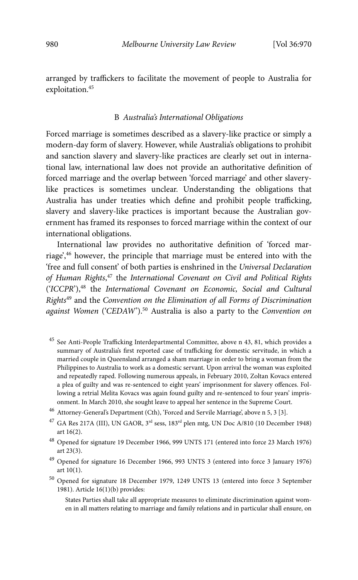arranged by traffickers to facilitate the movement of people to Australia for exploitation.<sup>45</sup>

#### B *Australia's International Obligations*

Forced marriage is sometimes described as a slavery-like practice or simply a modern-day form of slavery. However, while Australia's obligations to prohibit and sanction slavery and slavery-like practices are clearly set out in international law, international law does not provide an authoritative definition of forced marriage and the overlap between 'forced marriage' and other slaverylike practices is sometimes unclear. Understanding the obligations that Australia has under treaties which define and prohibit people trafficking, slavery and slavery-like practices is important because the Australian government has framed its responses to forced marriage within the context of our international obligations.

International law provides no authoritative definition of 'forced marriage',46 however, the principle that marriage must be entered into with the 'free and full consent' of both parties is enshrined in the *Universal Declaration of Human Rights*, 47 the *International Covenant on Civil and Political Rights*  ('*ICCPR*'),48 the *International Covenant on Economic, Social and Cultural Rights*49 and the *Convention on the Elimination of all Forms of Discrimination against Women* ('*CEDAW*').50 Australia is also a party to the *Convention on* 

- <sup>45</sup> See Anti-People Trafficking Interdepartmental Committee, above n 43, 81, which provides a summary of Australia's first reported case of trafficking for domestic servitude, in which a married couple in Queensland arranged a sham marriage in order to bring a woman from the Philippines to Australia to work as a domestic servant. Upon arrival the woman was exploited and repeatedly raped. Following numerous appeals, in February 2010, Zoltan Kovacs entered a plea of guilty and was re-sentenced to eight years' imprisonment for slavery offences. Following a retrial Melita Kovacs was again found guilty and re-sentenced to four years' imprisonment. In March 2010, she sought leave to appeal her sentence in the Supreme Court.
- $^{46}\,$  Attorney-General's Department (Cth), 'Forced and Servile Marriage', above n 5, 3 [3].
- $^{47}$  GA Res 217A (III), UN GAOR,  $3<sup>rd</sup>$  sess, 183<sup>rd</sup> plen mtg, UN Doc A/810 (10 December 1948) art 16(2).
- <sup>48</sup> Opened for signature 19 December 1966, 999 UNTS 171 (entered into force 23 March 1976) art 23(3).
- <sup>49</sup> Opened for signature 16 December 1966, 993 UNTS 3 (entered into force 3 January 1976) art 10(1).
- <sup>50</sup> Opened for signature 18 December 1979, 1249 UNTS 13 (entered into force 3 September 1981). Article 16(1)(b) provides:

States Parties shall take all appropriate measures to eliminate discrimination against women in all matters relating to marriage and family relations and in particular shall ensure, on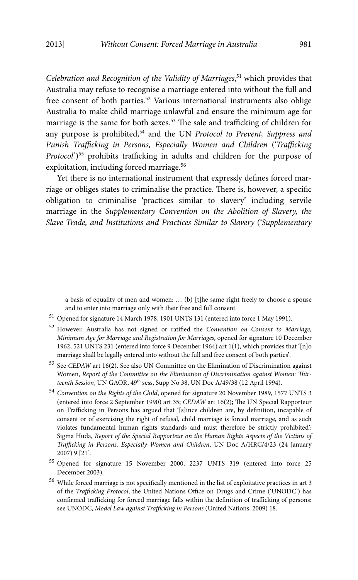*Celebration and Recognition of the Validity of Marriages*, 51 which provides that Australia may refuse to recognise a marriage entered into without the full and free consent of both parties.52 Various international instruments also oblige Australia to make child marriage unlawful and ensure the minimum age for marriage is the same for both sexes.53 The sale and trafficking of children for any purpose is prohibited,54 and the UN *Protocol to Prevent, Suppress and Punish Trafficking in Persons, Especially Women and Children* ('*Trafficking Protocol*')55 prohibits trafficking in adults and children for the purpose of exploitation, including forced marriage.<sup>56</sup>

Yet there is no international instrument that expressly defines forced marriage or obliges states to criminalise the practice. There is, however, a specific obligation to criminalise 'practices similar to slavery' including servile marriage in the *Supplementary Convention on the Abolition of Slavery, the Slave Trade, and Institutions and Practices Similar to Slavery* ('*Supplementary* 

a basis of equality of men and women: … (b) [t]he same right freely to choose a spouse and to enter into marriage only with their free and full consent.

- 51 Opened for signature 14 March 1978, 1901 UNTS 131 (entered into force 1 May 1991).
- 52 However, Australia has not signed or ratified the *Convention on Consent to Marriage, Minimum Age for Marriage and Registration for Marriages*, opened for signature 10 December 1962, 521 UNTS 231 (entered into force 9 December 1964) art 1(1), which provides that '[n]o marriage shall be legally entered into without the full and free consent of both parties'.
- 53 See *CEDAW* art 16(2). See also UN Committee on the Elimination of Discrimination against Women, *Report of the Committee on the Elimination of Discrimination against Women: Thirteenth Session*, UN GAOR, 49th sess, Supp No 38, UN Doc A/49/38 (12 April 1994).
- <sup>54</sup> *Convention on the Rights of the Child*, opened for signature 20 November 1989, 1577 UNTS 3 (entered into force 2 September 1990) art 35; *CEDAW* art 16(2); The UN Special Rapporteur on Trafficking in Persons has argued that '[s]ince children are, by definition, incapable of consent or of exercising the right of refusal, child marriage is forced marriage, and as such violates fundamental human rights standards and must therefore be strictly prohibited': Sigma Huda, *Report of the Special Rapporteur on the Human Rights Aspects of the Victims of Trafficking in Persons, Especially Women and Children*, UN Doc A/HRC/4/23 (24 January 2007) 9 [21].
- 55 Opened for signature 15 November 2000, 2237 UNTS 319 (entered into force 25 December 2003).
- 56 While forced marriage is not specifically mentioned in the list of exploitative practices in art 3 of the *Trafficking Protocol*, the United Nations Office on Drugs and Crime ('UNODC') has confirmed trafficking for forced marriage falls within the definition of trafficking of persons: see UNODC, *Model Law against Trafficking in Persons* (United Nations, 2009) 18.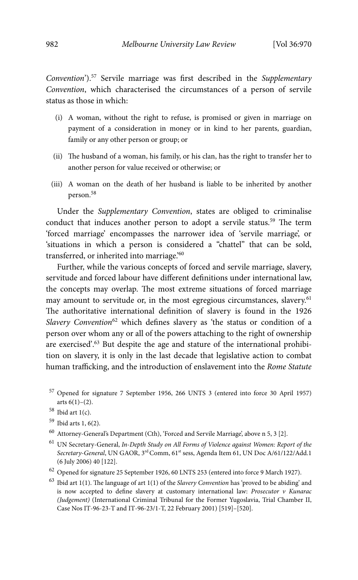*Convention*').57 Servile marriage was first described in the *Supplementary Convention*, which characterised the circumstances of a person of servile status as those in which:

- (i) A woman, without the right to refuse, is promised or given in marriage on payment of a consideration in money or in kind to her parents, guardian, family or any other person or group; or
- (ii) The husband of a woman, his family, or his clan, has the right to transfer her to another person for value received or otherwise; or
- (iii) A woman on the death of her husband is liable to be inherited by another person.<sup>58</sup>

Under the *Supplementary Convention*, states are obliged to criminalise conduct that induces another person to adopt a servile status.<sup>59</sup> The term 'forced marriage' encompasses the narrower idea of 'servile marriage', or 'situations in which a person is considered a "chattel" that can be sold, transferred, or inherited into marriage.'60

Further, while the various concepts of forced and servile marriage, slavery, servitude and forced labour have different definitions under international law, the concepts may overlap. The most extreme situations of forced marriage may amount to servitude or, in the most egregious circumstances, slavery.<sup>61</sup> The authoritative international definition of slavery is found in the 1926 *Slavery Convention*62 which defines slavery as 'the status or condition of a person over whom any or all of the powers attaching to the right of ownership are exercised'.63 But despite the age and stature of the international prohibition on slavery, it is only in the last decade that legislative action to combat human trafficking, and the introduction of enslavement into the *Rome Statute* 

- 57 Opened for signature 7 September 1956, 266 UNTS 3 (entered into force 30 April 1957) arts  $6(1)-(2)$ .
- $58$  Ibid art 1(c).
- 59 Ibid arts 1, 6(2).
- 60 Attorney-General's Department (Cth), 'Forced and Servile Marriage', above n 5, 3 [2].
- 61 UN Secretary-General, *In-Depth Study on All Forms of Violence against Women: Report of the Secretary-General*, UN GAOR, 3rd Comm, 61st sess, Agenda Item 61, UN Doc A/61/122/Add.1 (6 July 2006) 40 [122].
- $^{62}$  Opened for signature 25 September 1926, 60 LNTS 253 (entered into force 9 March 1927).
- 63 Ibid art 1(1). The language of art 1(1) of the *Slavery Convention* has 'proved to be abiding' and is now accepted to define slavery at customary international law: *Prosecutor v Kunarac (Judgement)* (International Criminal Tribunal for the Former Yugoslavia, Trial Chamber II, Case Nos IT-96-23-T and IT-96-23/1-T, 22 February 2001) [519]–[520].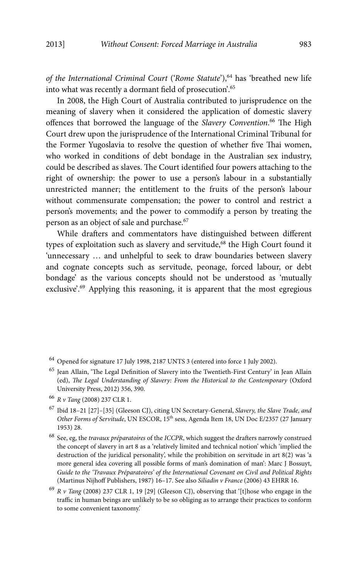*of the International Criminal Court* ('*Rome Statute*'),64 has 'breathed new life into what was recently a dormant field of prosecution'.<sup>65</sup>

In 2008, the High Court of Australia contributed to jurisprudence on the meaning of slavery when it considered the application of domestic slavery offences that borrowed the language of the *Slavery Convention*. 66 The High Court drew upon the jurisprudence of the International Criminal Tribunal for the Former Yugoslavia to resolve the question of whether five Thai women, who worked in conditions of debt bondage in the Australian sex industry, could be described as slaves. The Court identified four powers attaching to the right of ownership: the power to use a person's labour in a substantially unrestricted manner; the entitlement to the fruits of the person's labour without commensurate compensation; the power to control and restrict a person's movements; and the power to commodify a person by treating the person as an object of sale and purchase.<sup>67</sup>

While drafters and commentators have distinguished between different types of exploitation such as slavery and servitude,<sup>68</sup> the High Court found it 'unnecessary … and unhelpful to seek to draw boundaries between slavery and cognate concepts such as servitude, peonage, forced labour, or debt bondage' as the various concepts should not be understood as 'mutually exclusive'.<sup>69</sup> Applying this reasoning, it is apparent that the most egregious

- 65 Jean Allain, 'The Legal Definition of Slavery into the Twentieth-First Century' in Jean Allain (ed), *The Legal Understanding of Slavery: From the Historical to the Contemporary* (Oxford University Press, 2012) 356, 390.
- <sup>66</sup> *R v Tang* (2008) 237 CLR 1.
- <sup>67</sup> Ibid 18–21 [27]–[35] (Gleeson CJ), citing UN Secretary-General, *Slavery, the Slave Trade, and*  Other Forms of Servitude, UN ESCOR, 15<sup>th</sup> sess, Agenda Item 18, UN Doc E/2357 (27 January 1953) 28.
- 68 See, eg, the *travaux préparatoires* of the *ICCPR*, which suggest the drafters narrowly construed the concept of slavery in art 8 as a 'relatively limited and technical notion' which 'implied the destruction of the juridical personality', while the prohibition on servitude in art 8(2) was 'a more general idea covering all possible forms of man's domination of man': Marc J Bossuyt, *Guide to the 'Travaux Préparatoires' of the International Covenant on Civil and Political Rights*  (Martinus Nijhoff Publishers, 1987) 16–17. See also *Siliadin v France* (2006) 43 EHRR 16.
- <sup>69</sup> *R v Tang* (2008) 237 CLR 1, 19 [29] (Gleeson CJ), observing that '[t]hose who engage in the traffic in human beings are unlikely to be so obliging as to arrange their practices to conform to some convenient taxonomy.'

<sup>&</sup>lt;sup>64</sup> Opened for signature 17 July 1998, 2187 UNTS 3 (entered into force 1 July 2002).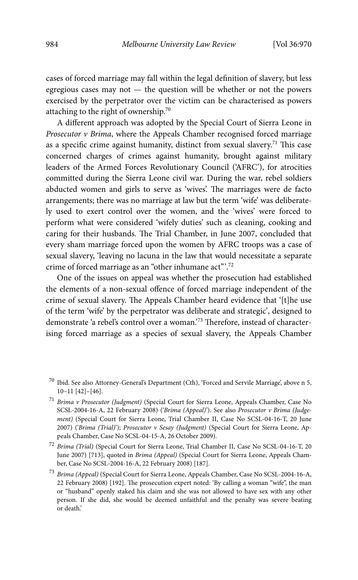cases of forced marriage may fall within the legal definition of slavery, but less egregious cases may not — the question will be whether or not the powers exercised by the perpetrator over the victim can be characterised as powers attaching to the right of ownership.70

A different approach was adopted by the Special Court of Sierra Leone in *Prosecutor v Brima*, where the Appeals Chamber recognised forced marriage as a specific crime against humanity, distinct from sexual slavery.<sup>71</sup> This case concerned charges of crimes against humanity, brought against military leaders of the Armed Forces Revolutionary Council ('AFRC'), for atrocities committed during the Sierra Leone civil war. During the war, rebel soldiers abducted women and girls to serve as 'wives'. The marriages were de facto arrangements; there was no marriage at law but the term 'wife' was deliberately used to exert control over the women, and the 'wives' were forced to perform what were considered 'wifely duties' such as cleaning, cooking and caring for their husbands. The Trial Chamber, in June 2007, concluded that every sham marriage forced upon the women by AFRC troops was a case of sexual slavery, 'leaving no lacuna in the law that would necessitate a separate crime of forced marriage as an "other inhumane act"'.72

One of the issues on appeal was whether the prosecution had established the elements of a non-sexual offence of forced marriage independent of the crime of sexual slavery. The Appeals Chamber heard evidence that '[t]he use of the term 'wife' by the perpetrator was deliberate and strategic', designed to demonstrate 'a rebel's control over a woman.'73 Therefore, instead of characterising forced marriage as a species of sexual slavery, the Appeals Chamber

 $^{70}$  Ibid. See also Attorney-General's Department (Cth), 'Forced and Servile Marriage', above n 5, 10–11 [42]–[46].

<sup>71</sup> *Brima v Prosecutor (Judgment)* (Special Court for Sierra Leone, Appeals Chamber, Case No SCSL-2004-16-A, 22 February 2008) ('*Brima (Appeal)*'). See also *Prosecutor v Brima (Judgement*) (Special Court for Sierra Leone, Trial Chamber II, Case No SCSL-04-16-T, 20 June 2007) ('*Brima (Trial)*'); *Prosecutor v Sesay (Judgment)* (Special Court for Sierra Leone, Appeals Chamber, Case No SCSL-04-15-A, 26 October 2009).

<sup>72</sup> *Brima (Trial)* (Special Court for Sierra Leone, Trial Chamber II, Case No SCSL-04-16-T, 20 June 2007) [713], quoted in *Brima (Appeal)* (Special Court for Sierra Leone, Appeals Chamber, Case No SCSL-2004-16-A, 22 February 2008) [187].

<sup>73</sup> *Brima (Appeal)* (Special Court for Sierra Leone, Appeals Chamber, Case No SCSL-2004-16-A, 22 February 2008) [192]. The prosecution expert noted: 'By calling a woman "wife", the man or "husband" openly staked his claim and she was not allowed to have sex with any other person. If she did, she would be deemed unfaithful and the penalty was severe beating or death.'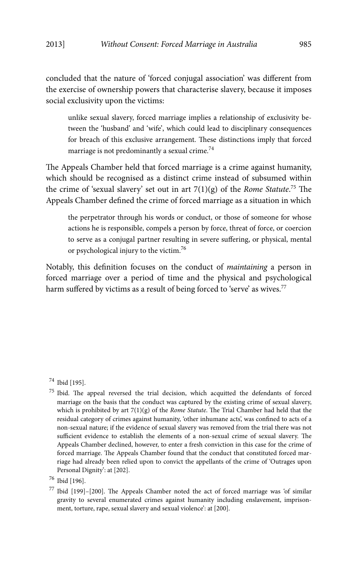concluded that the nature of 'forced conjugal association' was different from the exercise of ownership powers that characterise slavery, because it imposes social exclusivity upon the victims:

unlike sexual slavery, forced marriage implies a relationship of exclusivity between the 'husband' and 'wife', which could lead to disciplinary consequences for breach of this exclusive arrangement. These distinctions imply that forced marriage is not predominantly a sexual crime.<sup>74</sup>

The Appeals Chamber held that forced marriage is a crime against humanity, which should be recognised as a distinct crime instead of subsumed within the crime of 'sexual slavery' set out in art 7(1)(g) of the *Rome Statute*. 75 The Appeals Chamber defined the crime of forced marriage as a situation in which

the perpetrator through his words or conduct, or those of someone for whose actions he is responsible, compels a person by force, threat of force, or coercion to serve as a conjugal partner resulting in severe suffering, or physical, mental or psychological injury to the victim.76

Notably, this definition focuses on the conduct of *maintaining* a person in forced marriage over a period of time and the physical and psychological harm suffered by victims as a result of being forced to 'serve' as wives.<sup>77</sup>

<sup>74</sup> Ibid [195].

 $75$  Ibid. The appeal reversed the trial decision, which acquitted the defendants of forced marriage on the basis that the conduct was captured by the existing crime of sexual slavery, which is prohibited by art 7(1)(g) of the *Rome Statute*. The Trial Chamber had held that the residual category of crimes against humanity, 'other inhumane acts', was confined to acts of a non-sexual nature; if the evidence of sexual slavery was removed from the trial there was not sufficient evidence to establish the elements of a non-sexual crime of sexual slavery. The Appeals Chamber declined, however, to enter a fresh conviction in this case for the crime of forced marriage. The Appeals Chamber found that the conduct that constituted forced marriage had already been relied upon to convict the appellants of the crime of 'Outrages upon Personal Dignity': at [202].

<sup>76</sup> Ibid [196].

 $77$  Ibid [199]-[200]. The Appeals Chamber noted the act of forced marriage was 'of similar gravity to several enumerated crimes against humanity including enslavement, imprisonment, torture, rape, sexual slavery and sexual violence': at [200].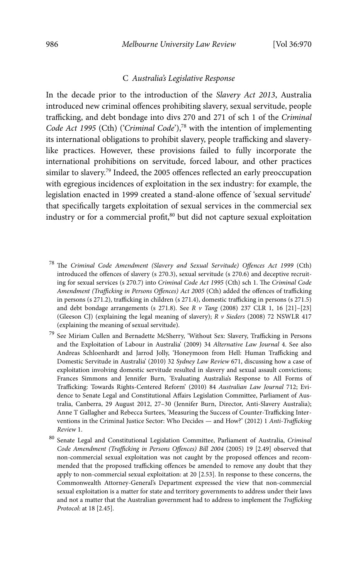#### C *Australia's Legislative Response*

In the decade prior to the introduction of the *Slavery Act 2013*, Australia introduced new criminal offences prohibiting slavery, sexual servitude, people trafficking, and debt bondage into divs 270 and 271 of sch 1 of the *Criminal Code Act 1995 (Cth) ('Criminal Code')*,<sup>78</sup> with the intention of implementing its international obligations to prohibit slavery, people trafficking and slaverylike practices. However, these provisions failed to fully incorporate the international prohibitions on servitude, forced labour, and other practices similar to slavery.<sup>79</sup> Indeed, the 2005 offences reflected an early preoccupation with egregious incidences of exploitation in the sex industry: for example, the legislation enacted in 1999 created a stand-alone offence of 'sexual servitude' that specifically targets exploitation of sexual services in the commercial sex industry or for a commercial profit,<sup>80</sup> but did not capture sexual exploitation

- 78 The *Criminal Code Amendment (Slavery and Sexual Servitude) Offences Act 1999* (Cth) introduced the offences of slavery (s 270.3), sexual servitude (s 270.6) and deceptive recruiting for sexual services (s 270.7) into *Criminal Code Act 1995* (Cth) sch 1. The *Criminal Code Amendment (Trafficking in Persons Offences) Act 2005* (Cth) added the offences of trafficking in persons (s 271.2), trafficking in children (s 271.4), domestic trafficking in persons (s 271.5) and debt bondage arrangements (s 271.8). See *R v Tang* (2008) 237 CLR 1, 16 [21]–[23] (Gleeson CJ) (explaining the legal meaning of slavery); *R v Sieders* (2008) 72 NSWLR 417 (explaining the meaning of sexual servitude).
- 79 See Miriam Cullen and Bernadette McSherry, 'Without Sex: Slavery, Trafficking in Persons and the Exploitation of Labour in Australia' (2009) 34 *Alternative Law Journal* 4. See also Andreas Schloenhardt and Jarrod Jolly, 'Honeymoon from Hell: Human Trafficking and Domestic Servitude in Australia' (2010) 32 *Sydney Law Review* 671, discussing how a case of exploitation involving domestic servitude resulted in slavery and sexual assault convictions; Frances Simmons and Jennifer Burn, 'Evaluating Australia's Response to All Forms of Trafficking: Towards Rights-Centered Reform' (2010) 84 *Australian Law Journal* 712; Evidence to Senate Legal and Constitutional Affairs Legislation Committee, Parliament of Australia, Canberra, 29 August 2012, 27–30 (Jennifer Burn, Director, Anti-Slavery Australia); Anne T Gallagher and Rebecca Surtees, 'Measuring the Success of Counter-Trafficking Interventions in the Criminal Justice Sector: Who Decides — and How?' (2012) 1 *Anti-Trafficking Review* 1.
- 80 Senate Legal and Constitutional Legislation Committee, Parliament of Australia, *Criminal Code Amendment (Trafficking in Persons Offences) Bill 2004* (2005) 19 [2.49] observed that non-commercial sexual exploitation was not caught by the proposed offences and recommended that the proposed trafficking offences be amended to remove any doubt that they apply to non-commercial sexual exploitation: at 20 [2.53]. In response to these concerns, the Commonwealth Attorney-General's Department expressed the view that non-commercial sexual exploitation is a matter for state and territory governments to address under their laws and not a matter that the Australian government had to address to implement the *Trafficking Protocol*: at 18 [2.45].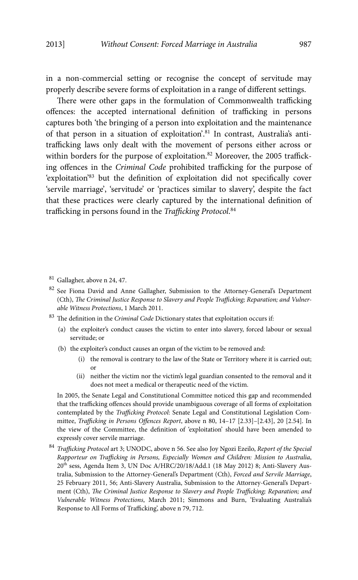in a non-commercial setting or recognise the concept of servitude may properly describe severe forms of exploitation in a range of different settings.

There were other gaps in the formulation of Commonwealth trafficking offences: the accepted international definition of trafficking in persons captures both 'the bringing of a person into exploitation and the maintenance of that person in a situation of exploitation'.<sup>81</sup> In contrast, Australia's antitrafficking laws only dealt with the movement of persons either across or within borders for the purpose of exploitation.<sup>82</sup> Moreover, the 2005 trafficking offences in the *Criminal Code* prohibited trafficking for the purpose of 'exploitation'83 but the definition of exploitation did not specifically cover 'servile marriage', 'servitude' or 'practices similar to slavery', despite the fact that these practices were clearly captured by the international definition of trafficking in persons found in the *Trafficking Protocol*. 84

- $81$  Gallagher, above n 24, 47.
- <sup>82</sup> See Fiona David and Anne Gallagher, Submission to the Attorney-General's Department (Cth), *The Criminal Justice Response to Slavery and People Trafficking; Reparation; and Vulnerable Witness Protections*, 1 March 2011.
- 83 The definition in the *Criminal Code* Dictionary states that exploitation occurs if:
	- (a) the exploiter's conduct causes the victim to enter into slavery, forced labour or sexual servitude; or
	- (b) the exploiter's conduct causes an organ of the victim to be removed and:
		- (i) the removal is contrary to the law of the State or Territory where it is carried out; or
		- (ii) neither the victim nor the victim's legal guardian consented to the removal and it does not meet a medical or therapeutic need of the victim.

 In 2005, the Senate Legal and Constitutional Committee noticed this gap and recommended that the trafficking offences should provide unambiguous coverage of all forms of exploitation contemplated by the *Trafficking Protocol*: Senate Legal and Constitutional Legislation Committee, *Trafficking in Persons Offences Report*, above n 80, 14–17 [2.33]–[2.43], 20 [2.54]. In the view of the Committee, the definition of 'exploitation' should have been amended to expressly cover servile marriage.

<sup>84</sup> *Trafficking Protocol* art 3; UNODC, above n 56. See also Joy Ngozi Ezeilo, *Report of the Special Rapporteur on Trafficking in Persons, Especially Women and Children: Mission to Australia*,  $20<sup>th</sup>$  sess, Agenda Item 3, UN Doc A/HRC/20/18/Add.1 (18 May 2012) 8; Anti-Slavery Australia, Submission to the Attorney-General's Department (Cth), *Forced and Servile Marriage*, 25 February 2011, 56; Anti-Slavery Australia, Submission to the Attorney-General's Department (Cth), *The Criminal Justice Response to Slavery and People Trafficking; Reparation; and Vulnerable Witness Protections*, March 2011; Simmons and Burn, 'Evaluating Australia's Response to All Forms of Trafficking', above n 79, 712.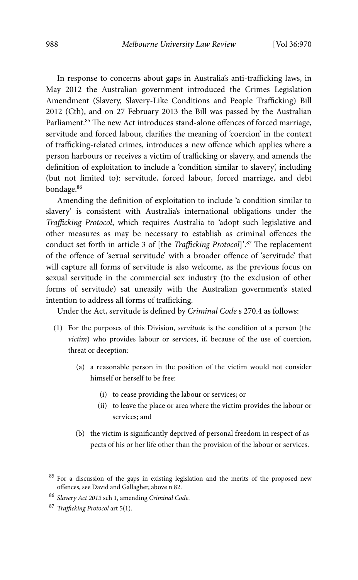In response to concerns about gaps in Australia's anti-trafficking laws, in May 2012 the Australian government introduced the Crimes Legislation Amendment (Slavery, Slavery-Like Conditions and People Trafficking) Bill 2012 (Cth), and on 27 February 2013 the Bill was passed by the Australian Parliament.<sup>85</sup> The new Act introduces stand-alone offences of forced marriage, servitude and forced labour, clarifies the meaning of 'coercion' in the context of trafficking-related crimes, introduces a new offence which applies where a person harbours or receives a victim of trafficking or slavery, and amends the definition of exploitation to include a 'condition similar to slavery', including (but not limited to): servitude, forced labour, forced marriage, and debt bondage.86

Amending the definition of exploitation to include 'a condition similar to slavery' is consistent with Australia's international obligations under the *Trafficking Protocol*, which requires Australia to 'adopt such legislative and other measures as may be necessary to establish as criminal offences the conduct set forth in article 3 of [the *Trafficking Protocol*]'.87 The replacement of the offence of 'sexual servitude' with a broader offence of 'servitude' that will capture all forms of servitude is also welcome, as the previous focus on sexual servitude in the commercial sex industry (to the exclusion of other forms of servitude) sat uneasily with the Australian government's stated intention to address all forms of trafficking.

Under the Act, servitude is defined by *Criminal Code* s 270.4 as follows:

- (1) For the purposes of this Division, *servitude* is the condition of a person (the *victim*) who provides labour or services, if, because of the use of coercion, threat or deception:
	- (a) a reasonable person in the position of the victim would not consider himself or herself to be free:
		- (i) to cease providing the labour or services; or
		- (ii) to leave the place or area where the victim provides the labour or services; and
	- (b) the victim is significantly deprived of personal freedom in respect of aspects of his or her life other than the provision of the labour or services.

<sup>&</sup>lt;sup>85</sup> For a discussion of the gaps in existing legislation and the merits of the proposed new offences, see David and Gallagher, above n 82.

<sup>86</sup> *Slavery Act 2013* sch 1, amending *Criminal Code*.

<sup>87</sup> *Trafficking Protocol* art 5(1).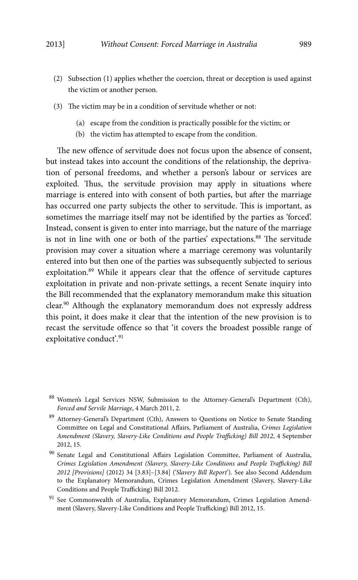- (2) Subsection (1) applies whether the coercion, threat or deception is used against the victim or another person.
- (3) The victim may be in a condition of servitude whether or not:
	- (a) escape from the condition is practically possible for the victim; or
	- (b) the victim has attempted to escape from the condition.

The new offence of servitude does not focus upon the absence of consent, but instead takes into account the conditions of the relationship, the deprivation of personal freedoms, and whether a person's labour or services are exploited. Thus, the servitude provision may apply in situations where marriage is entered into with consent of both parties, but after the marriage has occurred one party subjects the other to servitude. This is important, as sometimes the marriage itself may not be identified by the parties as 'forced'. Instead, consent is given to enter into marriage, but the nature of the marriage is not in line with one or both of the parties' expectations.<sup>88</sup> The servitude provision may cover a situation where a marriage ceremony was voluntarily entered into but then one of the parties was subsequently subjected to serious exploitation.89 While it appears clear that the offence of servitude captures exploitation in private and non-private settings, a recent Senate inquiry into the Bill recommended that the explanatory memorandum make this situation clear.90 Although the explanatory memorandum does not expressly address this point, it does make it clear that the intention of the new provision is to recast the servitude offence so that 'it covers the broadest possible range of exploitative conduct'.<sup>91</sup>

<sup>88</sup> Women's Legal Services NSW, Submission to the Attorney-General's Department (Cth), *Forced and Servile Marriage*, 4 March 2011, 2.

<sup>89</sup> Attorney-General's Department (Cth), Answers to Questions on Notice to Senate Standing Committee on Legal and Constitutional Affairs, Parliament of Australia, *Crimes Legislation Amendment (Slavery, Slavery-Like Conditions and People Trafficking) Bill 2012*, 4 September 2012, 15.

<sup>&</sup>lt;sup>90</sup> Senate Legal and Constitutional Affairs Legislation Committee, Parliament of Australia, *Crimes Legislation Amendment (Slavery, Slavery-Like Conditions and People Trafficking) Bill 2012 [Provisions]* (2012) 34 [3.83]–[3.84] ('*Slavery Bill Report*'). See also Second Addendum to the Explanatory Memorandum, Crimes Legislation Amendment (Slavery, Slavery-Like Conditions and People Trafficking) Bill 2012.

<sup>&</sup>lt;sup>91</sup> See Commonwealth of Australia, Explanatory Memorandum, Crimes Legislation Amendment (Slavery, Slavery-Like Conditions and People Trafficking) Bill 2012, 15.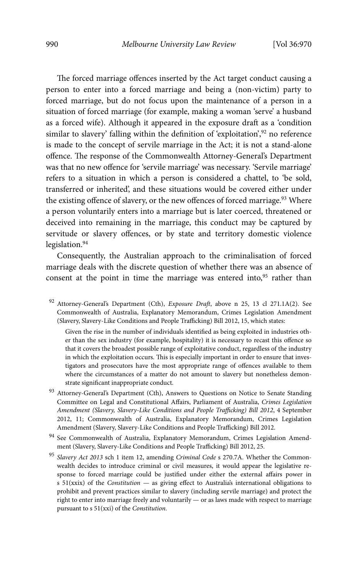The forced marriage offences inserted by the Act target conduct causing a person to enter into a forced marriage and being a (non-victim) party to forced marriage, but do not focus upon the maintenance of a person in a situation of forced marriage (for example, making a woman 'serve' a husband as a forced wife). Although it appeared in the exposure draft as a 'condition similar to slavery' falling within the definition of 'exploitation', $92$  no reference is made to the concept of servile marriage in the Act; it is not a stand-alone offence. The response of the Commonwealth Attorney-General's Department was that no new offence for 'servile marriage' was necessary. 'Servile marriage' refers to a situation in which a person is considered a chattel, to 'be sold, transferred or inherited', and these situations would be covered either under the existing offence of slavery, or the new offences of forced marriage.<sup>93</sup> Where a person voluntarily enters into a marriage but is later coerced, threatened or deceived into remaining in the marriage, this conduct may be captured by servitude or slavery offences, or by state and territory domestic violence legislation.<sup>94</sup>

Consequently, the Australian approach to the criminalisation of forced marriage deals with the discrete question of whether there was an absence of consent at the point in time the marriage was entered into, $95$  rather than

92 Attorney-General's Department (Cth), *Exposure Draft*, above n 25, 13 cl 271.1A(2). See Commonwealth of Australia, Explanatory Memorandum, Crimes Legislation Amendment (Slavery, Slavery-Like Conditions and People Trafficking) Bill 2012, 15, which states:

Given the rise in the number of individuals identified as being exploited in industries other than the sex industry (for example, hospitality) it is necessary to recast this offence so that it covers the broadest possible range of exploitative conduct, regardless of the industry in which the exploitation occurs. This is especially important in order to ensure that investigators and prosecutors have the most appropriate range of offences available to them where the circumstances of a matter do not amount to slavery but nonetheless demonstrate significant inappropriate conduct.

- 93 Attorney-General's Department (Cth), Answers to Questions on Notice to Senate Standing Committee on Legal and Constitutional Affairs, Parliament of Australia, *Crimes Legislation Amendment (Slavery, Slavery-Like Conditions and People Trafficking) Bill 2012*, 4 September 2012, 11; Commonwealth of Australia, Explanatory Memorandum, Crimes Legislation Amendment (Slavery, Slavery-Like Conditions and People Trafficking) Bill 2012.
- 94 See Commonwealth of Australia, Explanatory Memorandum, Crimes Legislation Amendment (Slavery, Slavery-Like Conditions and People Trafficking) Bill 2012, 25.

<sup>95</sup> *Slavery Act 2013* sch 1 item 12, amending *Criminal Code* s 270.7A. Whether the Commonwealth decides to introduce criminal or civil measures, it would appear the legislative response to forced marriage could be justified under either the external affairs power in s 51(xxix) of the *Constitution* — as giving effect to Australia's international obligations to prohibit and prevent practices similar to slavery (including servile marriage) and protect the right to enter into marriage freely and voluntarily — or as laws made with respect to marriage pursuant to s 51(xxi) of the *Constitution*.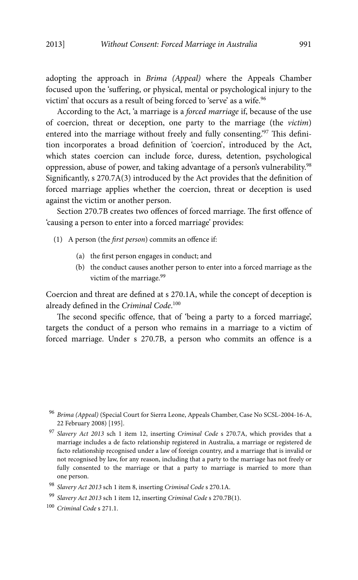adopting the approach in *Brima (Appeal)* where the Appeals Chamber focused upon the 'suffering, or physical, mental or psychological injury to the victim' that occurs as a result of being forced to 'serve' as a wife.<sup>96</sup>

According to the Act, 'a marriage is a *forced marriage* if, because of the use of coercion, threat or deception, one party to the marriage (the *victim*) entered into the marriage without freely and fully consenting.'97 This definition incorporates a broad definition of 'coercion', introduced by the Act, which states coercion can include force, duress, detention, psychological oppression, abuse of power, and taking advantage of a person's vulnerability.98 Significantly, s 270.7A(3) introduced by the Act provides that the definition of forced marriage applies whether the coercion, threat or deception is used against the victim or another person.

Section 270.7B creates two offences of forced marriage. The first offence of 'causing a person to enter into a forced marriage' provides:

- (1) A person (the *first person*) commits an offence if:
	- (a) the first person engages in conduct; and
	- (b) the conduct causes another person to enter into a forced marriage as the victim of the marriage.<sup>99</sup>

Coercion and threat are defined at s 270.1A, while the concept of deception is already defined in the *Criminal Code*. 100

The second specific offence, that of 'being a party to a forced marriage', targets the conduct of a person who remains in a marriage to a victim of forced marriage. Under s 270.7B, a person who commits an offence is a

<sup>96</sup> *Brima (Appeal)* (Special Court for Sierra Leone, Appeals Chamber, Case No SCSL-2004-16-A, 22 February 2008) [195].

<sup>97</sup> *Slavery Act 2013* sch 1 item 12, inserting *Criminal Code* s 270.7A, which provides that a marriage includes a de facto relationship registered in Australia, a marriage or registered de facto relationship recognised under a law of foreign country, and a marriage that is invalid or not recognised by law, for any reason, including that a party to the marriage has not freely or fully consented to the marriage or that a party to marriage is married to more than one person.

<sup>98</sup> *Slavery Act 2013* sch 1 item 8, inserting *Criminal Code* s 270.1A.

<sup>99</sup> *Slavery Act 2013* sch 1 item 12, inserting *Criminal Code* s 270.7B(1).

<sup>100</sup> *Criminal Code* s 271.1.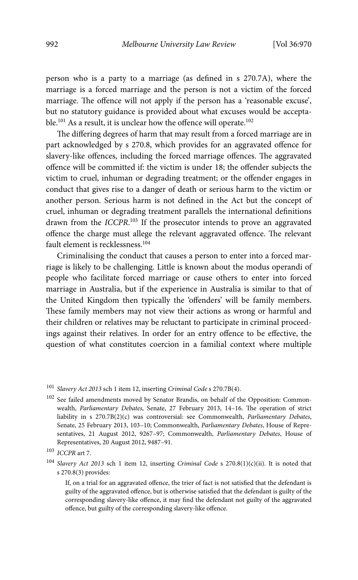person who is a party to a marriage (as defined in s 270.7A), where the marriage is a forced marriage and the person is not a victim of the forced marriage. The offence will not apply if the person has a 'reasonable excuse', but no statutory guidance is provided about what excuses would be acceptable.<sup>101</sup> As a result, it is unclear how the offence will operate.<sup>102</sup>

The differing degrees of harm that may result from a forced marriage are in part acknowledged by s 270.8, which provides for an aggravated offence for slavery-like offences, including the forced marriage offences. The aggravated offence will be committed if: the victim is under 18; the offender subjects the victim to cruel, inhuman or degrading treatment; or the offender engages in conduct that gives rise to a danger of death or serious harm to the victim or another person. Serious harm is not defined in the Act but the concept of cruel, inhuman or degrading treatment parallels the international definitions drawn from the *ICCPR*.<sup>103</sup> If the prosecutor intends to prove an aggravated offence the charge must allege the relevant aggravated offence. The relevant fault element is recklessness.<sup>104</sup>

Criminalising the conduct that causes a person to enter into a forced marriage is likely to be challenging. Little is known about the modus operandi of people who facilitate forced marriage or cause others to enter into forced marriage in Australia, but if the experience in Australia is similar to that of the United Kingdom then typically the 'offenders' will be family members. These family members may not view their actions as wrong or harmful and their children or relatives may be reluctant to participate in criminal proceedings against their relatives. In order for an entry offence to be effective, the question of what constitutes coercion in a familial context where multiple

<sup>101</sup> *Slavery Act 2013* sch 1 item 12, inserting *Criminal Code* s 270.7B(4).

<sup>102</sup> See failed amendments moved by Senator Brandis, on behalf of the Opposition: Commonwealth, *Parliamentary Debates*, Senate, 27 February 2013, 14–16. The operation of strict liability in s 270.7B(2)(c) was controversial: see Commonwealth, *Parliamentary Debates*, Senate, 25 February 2013, 103–10; Commonwealth, *Parliamentary Debates*, House of Representatives, 21 August 2012, 9267–97; Commonwealth, *Parliamentary Debates*, House of Representatives, 20 August 2012, 9487–91.

<sup>104</sup> *Slavery Act 2013* sch 1 item 12, inserting *Criminal Code* s 270.8(1)(c)(ii). It is noted that s 270.8(3) provides:

If, on a trial for an aggravated offence, the trier of fact is not satisfied that the defendant is guilty of the aggravated offence, but is otherwise satisfied that the defendant is guilty of the corresponding slavery-like offence, it may find the defendant not guilty of the aggravated offence, but guilty of the corresponding slavery-like offence.

<sup>103</sup> *ICCPR* art 7.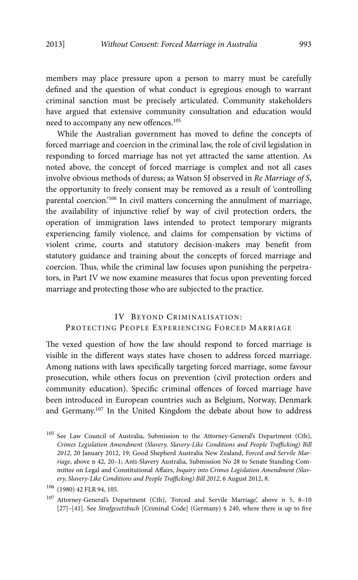members may place pressure upon a person to marry must be carefully defined and the question of what conduct is egregious enough to warrant criminal sanction must be precisely articulated. Community stakeholders have argued that extensive community consultation and education would need to accompany any new offences.<sup>105</sup>

While the Australian government has moved to define the concepts of forced marriage and coercion in the criminal law, the role of civil legislation in responding to forced marriage has not yet attracted the same attention. As noted above, the concept of forced marriage is complex and not all cases involve obvious methods of duress; as Watson SJ observed in *Re Marriage of S*, the opportunity to freely consent may be removed as a result of 'controlling parental coercion.'106 In civil matters concerning the annulment of marriage, the availability of injunctive relief by way of civil protection orders, the operation of immigration laws intended to protect temporary migrants experiencing family violence, and claims for compensation by victims of violent crime, courts and statutory decision-makers may benefit from statutory guidance and training about the concepts of forced marriage and coercion. Thus, while the criminal law focuses upon punishing the perpetrators, in Part IV we now examine measures that focus upon preventing forced marriage and protecting those who are subjected to the practice.

## IV BEYOND CRIMINALISATION: PROTECTING PEOPLE EXPERIENCING FORCED MARRIAGE

The vexed question of how the law should respond to forced marriage is visible in the different ways states have chosen to address forced marriage. Among nations with laws specifically targeting forced marriage, some favour prosecution, while others focus on prevention (civil protection orders and community education). Specific criminal offences of forced marriage have been introduced in European countries such as Belgium, Norway, Denmark and Germany.107 In the United Kingdom the debate about how to address

<sup>105</sup> See Law Council of Australia, Submission to the Attorney-General's Department (Cth), *Crimes Legislation Amendment (Slavery, Slavery-Like Conditions and People Trafficking) Bill 2012*, 20 January 2012, 19; Good Shepherd Australia New Zealand, *Forced and Servile Marriage*, above n 42, 20–1; Anti-Slavery Australia, Submission No 28 to Senate Standing Committee on Legal and Constitutional Affairs, *Inquiry into Crimes Legislation Amendment (Slavery, Slavery-Like Conditions and People Trafficking) Bill 2012*, 6 August 2012, 8.

<sup>106 (1980) 42</sup> FLR 94, 105.

<sup>107</sup> Attorney-General's Department (Cth), 'Forced and Servile Marriage', above n 5, 8–10 [27]–[41]. See *Strafgesetzbuch* [Criminal Code] (Germany) § 240, where there is up to five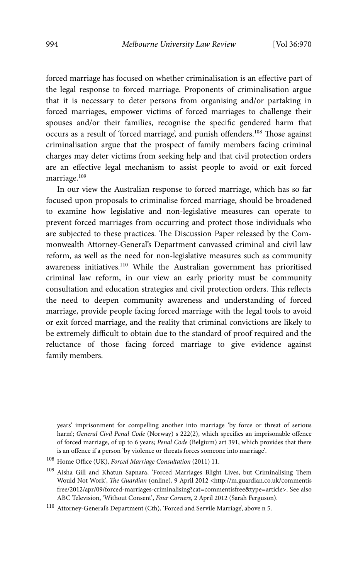forced marriage has focused on whether criminalisation is an effective part of the legal response to forced marriage. Proponents of criminalisation argue that it is necessary to deter persons from organising and/or partaking in forced marriages, empower victims of forced marriages to challenge their spouses and/or their families, recognise the specific gendered harm that occurs as a result of 'forced marriage', and punish offenders.108 Those against criminalisation argue that the prospect of family members facing criminal charges may deter victims from seeking help and that civil protection orders are an effective legal mechanism to assist people to avoid or exit forced marriage.<sup>109</sup>

In our view the Australian response to forced marriage, which has so far focused upon proposals to criminalise forced marriage, should be broadened to examine how legislative and non-legislative measures can operate to prevent forced marriages from occurring and protect those individuals who are subjected to these practices. The Discussion Paper released by the Commonwealth Attorney-General's Department canvassed criminal and civil law reform, as well as the need for non-legislative measures such as community awareness initiatives.110 While the Australian government has prioritised criminal law reform, in our view an early priority must be community consultation and education strategies and civil protection orders. This reflects the need to deepen community awareness and understanding of forced marriage, provide people facing forced marriage with the legal tools to avoid or exit forced marriage, and the reality that criminal convictions are likely to be extremely difficult to obtain due to the standard of proof required and the reluctance of those facing forced marriage to give evidence against family members.

years' imprisonment for compelling another into marriage 'by force or threat of serious harm'; *General Civil Penal Code* (Norway) s 222(2), which specifies an imprisonable offence of forced marriage, of up to 6 years; *Penal Code* (Belgium) art 391, which provides that there is an offence if a person 'by violence or threats forces someone into marriage'.

<sup>108</sup> Home Office (UK), *Forced Marriage Consultation* (2011) 11.

<sup>109</sup> Aisha Gill and Khatun Sapnara, 'Forced Marriages Blight Lives, but Criminalising Them Would Not Work', *The Guardian* (online), 9 April 2012 <http://m.guardian.co.uk/commentis free/2012/apr/09/forced-marriages-criminalising?cat=commentisfree&type=article>. See also ABC Television, 'Without Consent', *Four Corners*, 2 April 2012 (Sarah Ferguson).

 $^{110}\,$  Attorney-General's Department (Cth), 'Forced and Servile Marriage', above n 5.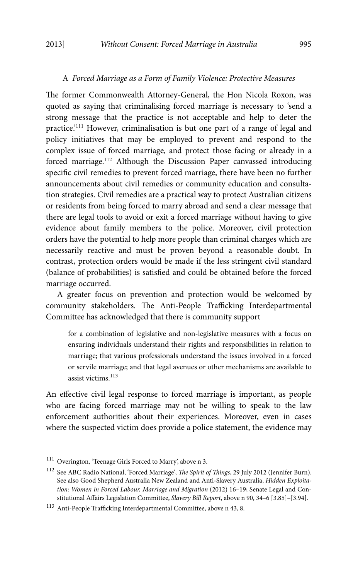#### A *Forced Marriage as a Form of Family Violence: Protective Measures*

The former Commonwealth Attorney-General, the Hon Nicola Roxon, was quoted as saying that criminalising forced marriage is necessary to 'send a strong message that the practice is not acceptable and help to deter the practice.'111 However, criminalisation is but one part of a range of legal and policy initiatives that may be employed to prevent and respond to the complex issue of forced marriage, and protect those facing or already in a forced marriage.<sup>112</sup> Although the Discussion Paper canvassed introducing specific civil remedies to prevent forced marriage, there have been no further announcements about civil remedies or community education and consultation strategies. Civil remedies are a practical way to protect Australian citizens or residents from being forced to marry abroad and send a clear message that there are legal tools to avoid or exit a forced marriage without having to give evidence about family members to the police. Moreover, civil protection orders have the potential to help more people than criminal charges which are necessarily reactive and must be proven beyond a reasonable doubt. In contrast, protection orders would be made if the less stringent civil standard (balance of probabilities) is satisfied and could be obtained before the forced marriage occurred.

A greater focus on prevention and protection would be welcomed by community stakeholders. The Anti-People Trafficking Interdepartmental Committee has acknowledged that there is community support

for a combination of legislative and non-legislative measures with a focus on ensuring individuals understand their rights and responsibilities in relation to marriage; that various professionals understand the issues involved in a forced or servile marriage; and that legal avenues or other mechanisms are available to assist victims.<sup>113</sup>

An effective civil legal response to forced marriage is important, as people who are facing forced marriage may not be willing to speak to the law enforcement authorities about their experiences. Moreover, even in cases where the suspected victim does provide a police statement, the evidence may

<sup>111</sup> Overington, 'Teenage Girls Forced to Marry', above n 3.

<sup>112</sup> See ABC Radio National, 'Forced Marriage', *The Spirit of Things*, 29 July 2012 (Jennifer Burn). See also Good Shepherd Australia New Zealand and Anti-Slavery Australia, *Hidden Exploitation: Women in Forced Labour, Marriage and Migration* (2012) 16–19; Senate Legal and Constitutional Affairs Legislation Committee, *Slavery Bill Report*, above n 90, 34–6 [3.85]–[3.94].

 $^{113}$  Anti-People Trafficking Interdepartmental Committee, above n 43, 8.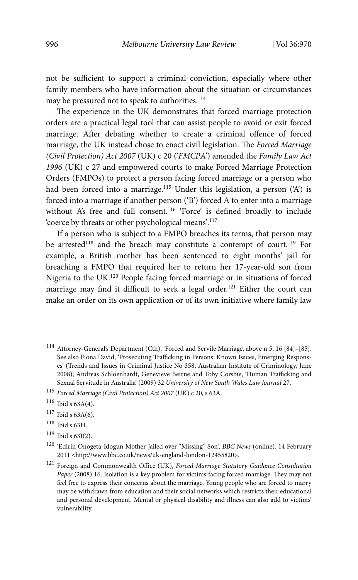not be sufficient to support a criminal conviction, especially where other family members who have information about the situation or circumstances may be pressured not to speak to authorities.<sup>114</sup>

The experience in the UK demonstrates that forced marriage protection orders are a practical legal tool that can assist people to avoid or exit forced marriage. After debating whether to create a criminal offence of forced marriage, the UK instead chose to enact civil legislation. The *Forced Marriage (Civil Protection) Act 2007* (UK) c 20 ('*FMCPA*') amended the *Family Law Act 1996* (UK) c 27 and empowered courts to make Forced Marriage Protection Orders (FMPOs) to protect a person facing forced marriage or a person who had been forced into a marriage.<sup>115</sup> Under this legislation, a person ('A') is forced into a marriage if another person ('B') forced A to enter into a marriage without A's free and full consent.<sup>116</sup> 'Force' is defined broadly to include 'coerce by threats or other psychological means'.117

If a person who is subject to a FMPO breaches its terms, that person may be arrested<sup>118</sup> and the breach may constitute a contempt of court.<sup>119</sup> For example, a British mother has been sentenced to eight months' jail for breaching a FMPO that required her to return her 17-year-old son from Nigeria to the UK.120 People facing forced marriage or in situations of forced marriage may find it difficult to seek a legal order.<sup>121</sup> Either the court can make an order on its own application or of its own initiative where family law

- 114 Attorney-General's Department (Cth), 'Forced and Servile Marriage', above n 5, 16 [84]–[85]. See also Fiona David, 'Prosecuting Trafficking in Persons: Known Issues, Emerging Responses' (Trends and Issues in Criminal Justice No 358, Australian Institute of Criminology, June 2008); Andreas Schloenhardt, Genevieve Beirne and Toby Corsbie, 'Human Trafficking and Sexual Servitude in Australia' (2009) 32 *University of New South Wales Law Journal* 27.
- <sup>115</sup> *Forced Marriage (Civil Protection) Act 2007* (UK) c 20, s 63A.

- $117$  Ibid s 63A(6).
- 118 Ibid s 63H.
- $119$  Ibid s 63I(2).

 $116$  Ibid s  $63A(4)$ .

<sup>120 &#</sup>x27;Edirin Onogeta-Idogun Mother Jailed over "Missing" Son', *BBC News* (online), 14 February 2011 <http://www.bbc.co.uk/news/uk-england-london-12455820>.

<sup>121</sup> Foreign and Commonwealth Office (UK), *Forced Marriage Statutory Guidance Consultation Paper* (2008) 16. Isolation is a key problem for victims facing forced marriage. They may not feel free to express their concerns about the marriage. Young people who are forced to marry may be withdrawn from education and their social networks which restricts their educational and personal development. Mental or physical disability and illness can also add to victims' vulnerability.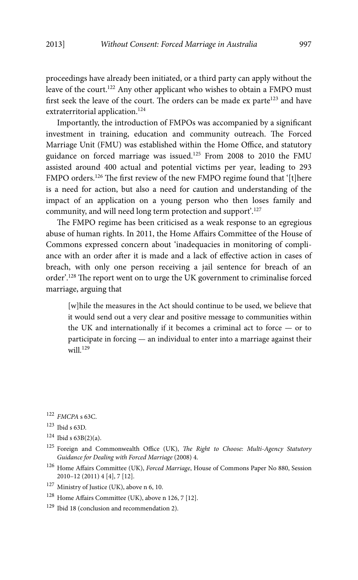proceedings have already been initiated, or a third party can apply without the leave of the court.<sup>122</sup> Any other applicant who wishes to obtain a FMPO must first seek the leave of the court. The orders can be made  $ex$  parte<sup>123</sup> and have extraterritorial application.<sup>124</sup>

Importantly, the introduction of FMPOs was accompanied by a significant investment in training, education and community outreach. The Forced Marriage Unit (FMU) was established within the Home Office, and statutory guidance on forced marriage was issued.125 From 2008 to 2010 the FMU assisted around 400 actual and potential victims per year, leading to 293 FMPO orders.<sup>126</sup> The first review of the new FMPO regime found that '[t]here is a need for action, but also a need for caution and understanding of the impact of an application on a young person who then loses family and community, and will need long term protection and support'.127

The FMPO regime has been criticised as a weak response to an egregious abuse of human rights. In 2011, the Home Affairs Committee of the House of Commons expressed concern about 'inadequacies in monitoring of compliance with an order after it is made and a lack of effective action in cases of breach, with only one person receiving a jail sentence for breach of an order'.128 The report went on to urge the UK government to criminalise forced marriage, arguing that

[w]hile the measures in the Act should continue to be used, we believe that it would send out a very clear and positive message to communities within the UK and internationally if it becomes a criminal act to force — or to participate in forcing — an individual to enter into a marriage against their will. $129$ 

<sup>122</sup> *FMCPA* s 63C.

<sup>123</sup> Ibid s 63D.

 $124$  Ibid s  $63B(2)(a)$ .

<sup>125</sup> Foreign and Commonwealth Office (UK), *The Right to Choose: Multi-Agency Statutory Guidance for Dealing with Forced Marriage* (2008) 4.

<sup>126</sup> Home Affairs Committee (UK), *Forced Marriage*, House of Commons Paper No 880, Session 2010–12 (2011) 4 [4], 7 [12].

<sup>127</sup> Ministry of Justice (UK), above n 6, 10.

<sup>128</sup> Home Affairs Committee (UK), above n 126, 7 [12].

<sup>&</sup>lt;sup>129</sup> Ibid 18 (conclusion and recommendation 2).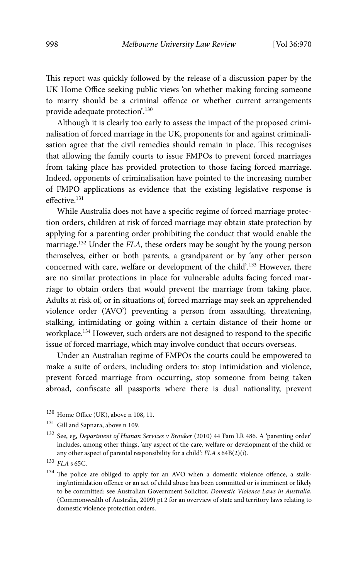This report was quickly followed by the release of a discussion paper by the UK Home Office seeking public views 'on whether making forcing someone to marry should be a criminal offence or whether current arrangements provide adequate protection'.130

Although it is clearly too early to assess the impact of the proposed criminalisation of forced marriage in the UK, proponents for and against criminalisation agree that the civil remedies should remain in place. This recognises that allowing the family courts to issue FMPOs to prevent forced marriages from taking place has provided protection to those facing forced marriage. Indeed, opponents of criminalisation have pointed to the increasing number of FMPO applications as evidence that the existing legislative response is effective.<sup>131</sup>

While Australia does not have a specific regime of forced marriage protection orders, children at risk of forced marriage may obtain state protection by applying for a parenting order prohibiting the conduct that would enable the marriage.132 Under the *FLA*, these orders may be sought by the young person themselves, either or both parents, a grandparent or by 'any other person concerned with care, welfare or development of the child'.133 However, there are no similar protections in place for vulnerable adults facing forced marriage to obtain orders that would prevent the marriage from taking place. Adults at risk of, or in situations of, forced marriage may seek an apprehended violence order ('AVO') preventing a person from assaulting, threatening, stalking, intimidating or going within a certain distance of their home or workplace.134 However, such orders are not designed to respond to the specific issue of forced marriage, which may involve conduct that occurs overseas.

Under an Australian regime of FMPOs the courts could be empowered to make a suite of orders, including orders to: stop intimidation and violence, prevent forced marriage from occurring, stop someone from being taken abroad, confiscate all passports where there is dual nationality, prevent

- 130 Home Office (UK), above n 108, 11.
- 131 Gill and Sapnara, above n 109.
- 132 See, eg, *Department of Human Services v Brouker* (2010) 44 Fam LR 486. A 'parenting order' includes, among other things, 'any aspect of the care, welfare or development of the child or any other aspect of parental responsibility for a child': *FLA* s 64B(2)(i).

<sup>133</sup> *FLA* s 65C.

<sup>&</sup>lt;sup>134</sup> The police are obliged to apply for an AVO when a domestic violence offence, a stalking/intimidation offence or an act of child abuse has been committed or is imminent or likely to be committed: see Australian Government Solicitor, *Domestic Violence Laws in Australia*, (Commonwealth of Australia, 2009) pt 2 for an overview of state and territory laws relating to domestic violence protection orders.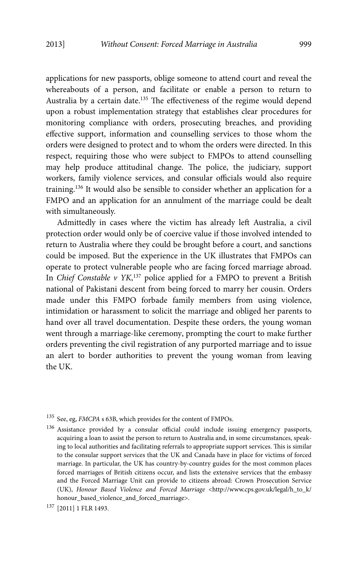applications for new passports, oblige someone to attend court and reveal the whereabouts of a person, and facilitate or enable a person to return to Australia by a certain date.135 The effectiveness of the regime would depend upon a robust implementation strategy that establishes clear procedures for monitoring compliance with orders, prosecuting breaches, and providing effective support, information and counselling services to those whom the orders were designed to protect and to whom the orders were directed. In this respect, requiring those who were subject to FMPOs to attend counselling may help produce attitudinal change. The police, the judiciary, support workers, family violence services, and consular officials would also require training.136 It would also be sensible to consider whether an application for a FMPO and an application for an annulment of the marriage could be dealt with simultaneously.

Admittedly in cases where the victim has already left Australia, a civil protection order would only be of coercive value if those involved intended to return to Australia where they could be brought before a court, and sanctions could be imposed. But the experience in the UK illustrates that FMPOs can operate to protect vulnerable people who are facing forced marriage abroad. In *Chief Constable v YK*, 137 police applied for a FMPO to prevent a British national of Pakistani descent from being forced to marry her cousin. Orders made under this FMPO forbade family members from using violence, intimidation or harassment to solicit the marriage and obliged her parents to hand over all travel documentation. Despite these orders, the young woman went through a marriage-like ceremony, prompting the court to make further orders preventing the civil registration of any purported marriage and to issue an alert to border authorities to prevent the young woman from leaving the UK.

135 See, eg, *FMCPA* s 63B, which provides for the content of FMPOs.

136 Assistance provided by a consular official could include issuing emergency passports, acquiring a loan to assist the person to return to Australia and, in some circumstances, speaking to local authorities and facilitating referrals to appropriate support services. This is similar to the consular support services that the UK and Canada have in place for victims of forced marriage. In particular, the UK has country-by-country guides for the most common places forced marriages of British citizens occur, and lists the extensive services that the embassy and the Forced Marriage Unit can provide to citizens abroad: Crown Prosecution Service (UK), *Honour Based Violence and Forced Marriage* <http://www.cps.gov.uk/legal/h\_to\_k/ honour\_based\_violence\_and\_forced\_marriage>.

<sup>137 [2011] 1</sup> FLR 1493.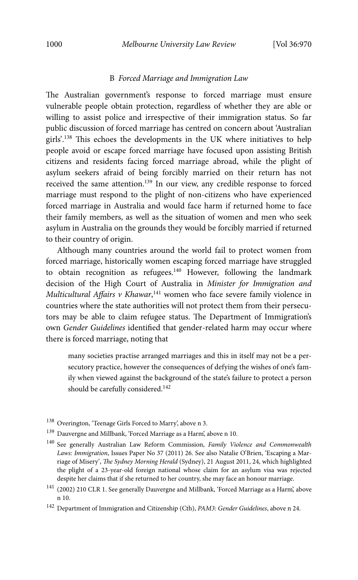#### B *Forced Marriage and Immigration Law*

The Australian government's response to forced marriage must ensure vulnerable people obtain protection, regardless of whether they are able or willing to assist police and irrespective of their immigration status. So far public discussion of forced marriage has centred on concern about 'Australian girls'.138 This echoes the developments in the UK where initiatives to help people avoid or escape forced marriage have focused upon assisting British citizens and residents facing forced marriage abroad, while the plight of asylum seekers afraid of being forcibly married on their return has not received the same attention.139 In our view, any credible response to forced marriage must respond to the plight of non-citizens who have experienced forced marriage in Australia and would face harm if returned home to face their family members, as well as the situation of women and men who seek asylum in Australia on the grounds they would be forcibly married if returned to their country of origin.

Although many countries around the world fail to protect women from forced marriage, historically women escaping forced marriage have struggled to obtain recognition as refugees.<sup>140</sup> However, following the landmark decision of the High Court of Australia in *Minister for Immigration and Multicultural Affairs v Khawar*, 141 women who face severe family violence in countries where the state authorities will not protect them from their persecutors may be able to claim refugee status. The Department of Immigration's own *Gender Guidelines* identified that gender-related harm may occur where there is forced marriage, noting that

many societies practise arranged marriages and this in itself may not be a persecutory practice, however the consequences of defying the wishes of one's family when viewed against the background of the state's failure to protect a person should be carefully considered.<sup>142</sup>

- <sup>138</sup> Overington, 'Teenage Girls Forced to Marry', above n 3.
- $^{139}$  Dauvergne and Millbank, 'Forced Marriage as a Harm', above n 10.
- 140 See generally Australian Law Reform Commission, *Family Violence and Commonwealth Laws: Immigration*, Issues Paper No 37 (2011) 26. See also Natalie O'Brien, 'Escaping a Marriage of Misery', *The Sydney Morning Herald* (Sydney), 21 August 2011, 24, which highlighted the plight of a 23-year-old foreign national whose claim for an asylum visa was rejected despite her claims that if she returned to her country, she may face an honour marriage.
- $^{141}\,$  (2002) 210 CLR 1. See generally Dauvergne and Millbank, 'Forced Marriage as a Harm', above n 10.
- 142 Department of Immigration and Citizenship (Cth), *PAM3: Gender Guidelines*, above n 24.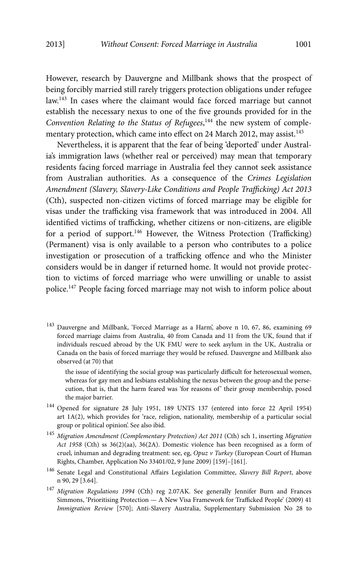However, research by Dauvergne and Millbank shows that the prospect of being forcibly married still rarely triggers protection obligations under refugee law.143 In cases where the claimant would face forced marriage but cannot establish the necessary nexus to one of the five grounds provided for in the Convention Relating to the Status of Refugees,<sup>144</sup> the new system of complementary protection, which came into effect on 24 March 2012, may assist.<sup>145</sup>

Nevertheless, it is apparent that the fear of being 'deported' under Australia's immigration laws (whether real or perceived) may mean that temporary residents facing forced marriage in Australia feel they cannot seek assistance from Australian authorities. As a consequence of the *Crimes Legislation Amendment (Slavery, Slavery-Like Conditions and People Trafficking) Act 2013*  (Cth), suspected non-citizen victims of forced marriage may be eligible for visas under the trafficking visa framework that was introduced in 2004. All identified victims of trafficking, whether citizens or non-citizens, are eligible for a period of support.<sup>146</sup> However, the Witness Protection (Trafficking) (Permanent) visa is only available to a person who contributes to a police investigation or prosecution of a trafficking offence and who the Minister considers would be in danger if returned home. It would not provide protection to victims of forced marriage who were unwilling or unable to assist police.147 People facing forced marriage may not wish to inform police about

143 Dauvergne and Millbank, 'Forced Marriage as a Harm', above n 10, 67, 86, examining 69 forced marriage claims from Australia, 40 from Canada and 11 from the UK, found that if individuals rescued abroad by the UK FMU were to seek asylum in the UK, Australia or Canada on the basis of forced marriage they would be refused. Dauvergne and Millbank also observed (at 70) that

the issue of identifying the social group was particularly difficult for heterosexual women, whereas for gay men and lesbians establishing the nexus between the group and the persecution, that is, that the harm feared was 'for reasons of' their group membership, posed the major barrier.

- 144 Opened for signature 28 July 1951, 189 UNTS 137 (entered into force 22 April 1954) art 1A(2), which provides for 'race, religion, nationality, membership of a particular social group or political opinion'. See also ibid.
- <sup>145</sup> *Migration Amendment (Complementary Protection) Act 2011* (Cth) sch 1, inserting *Migration Act 1958* (Cth) ss 36(2)(aa), 36(2A). Domestic violence has been recognised as a form of cruel, inhuman and degrading treatment: see, eg, *Opuz v Turkey* (European Court of Human Rights, Chamber, Application No 33401/02, 9 June 2009) [159]–[161].
- 146 Senate Legal and Constitutional Affairs Legislation Committee, *Slavery Bill Report*, above n 90, 29 [3.64].
- <sup>147</sup> *Migration Regulations 1994* (Cth) reg 2.07AK. See generally Jennifer Burn and Frances Simmons, 'Prioritising Protection — A New Visa Framework for Trafficked People' (2009) 41 *Immigration Review* [570]; Anti-Slavery Australia, Supplementary Submission No 28 to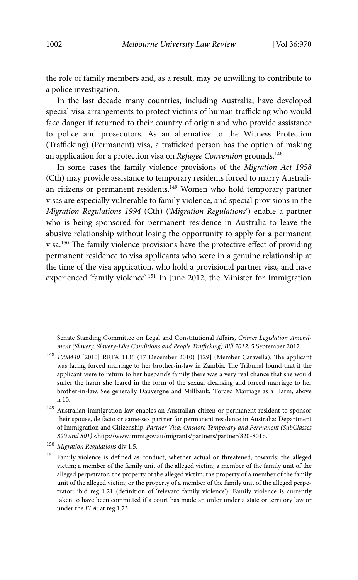the role of family members and, as a result, may be unwilling to contribute to a police investigation.

In the last decade many countries, including Australia, have developed special visa arrangements to protect victims of human trafficking who would face danger if returned to their country of origin and who provide assistance to police and prosecutors. As an alternative to the Witness Protection (Trafficking) (Permanent) visa, a trafficked person has the option of making an application for a protection visa on *Refugee Convention* grounds.<sup>148</sup>

In some cases the family violence provisions of the *Migration Act 1958*  (Cth) may provide assistance to temporary residents forced to marry Australian citizens or permanent residents.149 Women who hold temporary partner visas are especially vulnerable to family violence, and special provisions in the *Migration Regulations 1994* (Cth) ('*Migration Regulations*') enable a partner who is being sponsored for permanent residence in Australia to leave the abusive relationship without losing the opportunity to apply for a permanent visa.150 The family violence provisions have the protective effect of providing permanent residence to visa applicants who were in a genuine relationship at the time of the visa application, who hold a provisional partner visa, and have experienced 'family violence'.<sup>151</sup> In June 2012, the Minister for Immigration

Senate Standing Committee on Legal and Constitutional Affairs, *Crimes Legislation Amendment (Slavery, Slavery-Like Conditions and People Trafficking) Bill 2012*, 5 September 2012.

- <sup>148</sup> *1008440* [2010] RRTA 1136 (17 December 2010) [129] (Member Caravella). The applicant was facing forced marriage to her brother-in-law in Zambia. The Tribunal found that if the applicant were to return to her husband's family there was a very real chance that she would suffer the harm she feared in the form of the sexual cleansing and forced marriage to her brother-in-law. See generally Dauvergne and Millbank, 'Forced Marriage as a Harm', above n 10.
- 149 Australian immigration law enables an Australian citizen or permanent resident to sponsor their spouse, de facto or same-sex partner for permanent residence in Australia: Department of Immigration and Citizenship, *Partner Visa: Onshore Temporary and Permanent (SubClasses 820 and 801)* <http://www.immi.gov.au/migrants/partners/partner/820-801>.
- <sup>150</sup> *Migration Regulations* div 1.5.
- 151 Family violence is defined as conduct, whether actual or threatened, towards: the alleged victim; a member of the family unit of the alleged victim; a member of the family unit of the alleged perpetrator; the property of the alleged victim; the property of a member of the family unit of the alleged victim; or the property of a member of the family unit of the alleged perpetrator: ibid reg 1.21 (definition of 'relevant family violence'). Family violence is currently taken to have been committed if a court has made an order under a state or territory law or under the *FLA*: at reg 1.23.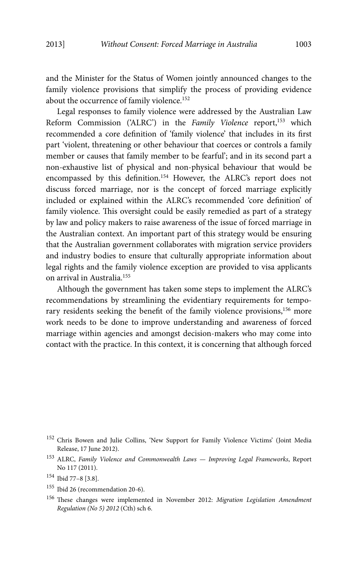and the Minister for the Status of Women jointly announced changes to the family violence provisions that simplify the process of providing evidence about the occurrence of family violence.<sup>152</sup>

Legal responses to family violence were addressed by the Australian Law Reform Commission ('ALRC') in the *Family Violence* report,<sup>153</sup> which recommended a core definition of 'family violence' that includes in its first part 'violent, threatening or other behaviour that coerces or controls a family member or causes that family member to be fearful'; and in its second part a non-exhaustive list of physical and non-physical behaviour that would be encompassed by this definition.154 However, the ALRC's report does not discuss forced marriage, nor is the concept of forced marriage explicitly included or explained within the ALRC's recommended 'core definition' of family violence. This oversight could be easily remedied as part of a strategy by law and policy makers to raise awareness of the issue of forced marriage in the Australian context. An important part of this strategy would be ensuring that the Australian government collaborates with migration service providers and industry bodies to ensure that culturally appropriate information about legal rights and the family violence exception are provided to visa applicants on arrival in Australia.155

Although the government has taken some steps to implement the ALRC's recommendations by streamlining the evidentiary requirements for temporary residents seeking the benefit of the family violence provisions,<sup>156</sup> more work needs to be done to improve understanding and awareness of forced marriage within agencies and amongst decision-makers who may come into contact with the practice. In this context, it is concerning that although forced

<sup>152</sup> Chris Bowen and Julie Collins, 'New Support for Family Violence Victims' (Joint Media Release, 17 June 2012).

<sup>153</sup> ALRC, *Family Violence and Commonwealth Laws — Improving Legal Frameworks*, Report No 117 (2011).

<sup>154</sup> Ibid 77–8 [3.8].

<sup>155</sup> Ibid 26 (recommendation 20-6).

<sup>156</sup> These changes were implemented in November 2012: *Migration Legislation Amendment Regulation (No 5) 2012* (Cth) sch 6.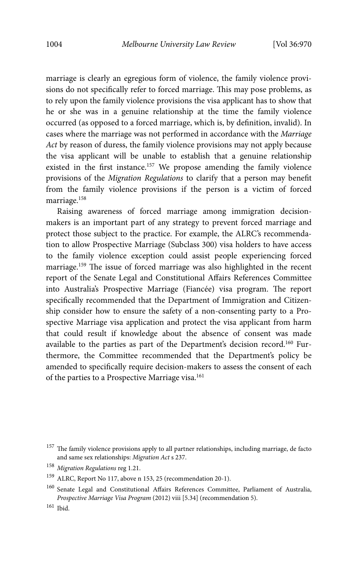marriage is clearly an egregious form of violence, the family violence provisions do not specifically refer to forced marriage. This may pose problems, as to rely upon the family violence provisions the visa applicant has to show that he or she was in a genuine relationship at the time the family violence occurred (as opposed to a forced marriage, which is, by definition, invalid). In cases where the marriage was not performed in accordance with the *Marriage Act* by reason of duress, the family violence provisions may not apply because the visa applicant will be unable to establish that a genuine relationship existed in the first instance.157 We propose amending the family violence provisions of the *Migration Regulations* to clarify that a person may benefit from the family violence provisions if the person is a victim of forced marriage.158

Raising awareness of forced marriage among immigration decisionmakers is an important part of any strategy to prevent forced marriage and protect those subject to the practice. For example, the ALRC's recommendation to allow Prospective Marriage (Subclass 300) visa holders to have access to the family violence exception could assist people experiencing forced marriage.<sup>159</sup> The issue of forced marriage was also highlighted in the recent report of the Senate Legal and Constitutional Affairs References Committee into Australia's Prospective Marriage (Fiancée) visa program. The report specifically recommended that the Department of Immigration and Citizenship consider how to ensure the safety of a non-consenting party to a Prospective Marriage visa application and protect the visa applicant from harm that could result if knowledge about the absence of consent was made available to the parties as part of the Department's decision record.<sup>160</sup> Furthermore, the Committee recommended that the Department's policy be amended to specifically require decision-makers to assess the consent of each of the parties to a Prospective Marriage visa.<sup>161</sup>

<sup>&</sup>lt;sup>157</sup> The family violence provisions apply to all partner relationships, including marriage, de facto and same sex relationships: *Migration Act* s 237.

<sup>158</sup> *Migration Regulations* reg 1.21.

<sup>159</sup> ALRC, Report No 117, above n 153, 25 (recommendation 20-1).

<sup>&</sup>lt;sup>160</sup> Senate Legal and Constitutional Affairs References Committee, Parliament of Australia, *Prospective Marriage Visa Program* (2012) viii [5.34] (recommendation 5).

<sup>161</sup> Ibid.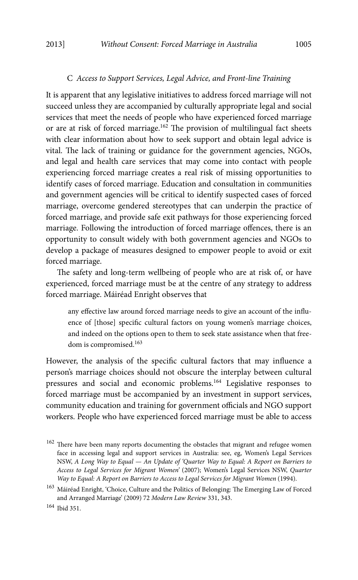#### C *Access to Support Services, Legal Advice, and Front-line Training*

It is apparent that any legislative initiatives to address forced marriage will not succeed unless they are accompanied by culturally appropriate legal and social services that meet the needs of people who have experienced forced marriage or are at risk of forced marriage.<sup>162</sup> The provision of multilingual fact sheets with clear information about how to seek support and obtain legal advice is vital. The lack of training or guidance for the government agencies, NGOs, and legal and health care services that may come into contact with people experiencing forced marriage creates a real risk of missing opportunities to identify cases of forced marriage. Education and consultation in communities and government agencies will be critical to identify suspected cases of forced marriage, overcome gendered stereotypes that can underpin the practice of forced marriage, and provide safe exit pathways for those experiencing forced marriage. Following the introduction of forced marriage offences, there is an opportunity to consult widely with both government agencies and NGOs to develop a package of measures designed to empower people to avoid or exit forced marriage.

The safety and long-term wellbeing of people who are at risk of, or have experienced, forced marriage must be at the centre of any strategy to address forced marriage. Máiréad Enright observes that

any effective law around forced marriage needs to give an account of the influence of [those] specific cultural factors on young women's marriage choices, and indeed on the options open to them to seek state assistance when that freedom is compromised.<sup>163</sup>

However, the analysis of the specific cultural factors that may influence a person's marriage choices should not obscure the interplay between cultural pressures and social and economic problems.164 Legislative responses to forced marriage must be accompanied by an investment in support services, community education and training for government officials and NGO support workers. People who have experienced forced marriage must be able to access

<sup>&</sup>lt;sup>162</sup> There have been many reports documenting the obstacles that migrant and refugee women face in accessing legal and support services in Australia: see, eg, Women's Legal Services NSW, *A Long Way to Equal — An Update of 'Quarter Way to Equal: A Report on Barriers to Access to Legal Services for Migrant Women'* (2007); Women's Legal Services NSW, *Quarter Way to Equal: A Report on Barriers to Access to Legal Services for Migrant Women* (1994).

 $^{163}$ Máiréad Enright, 'Choice, Culture and the Politics of Belonging: The Emerging Law of Forced and Arranged Marriage' (2009) 72 *Modern Law Review* 331, 343.

<sup>164</sup> Ibid 351.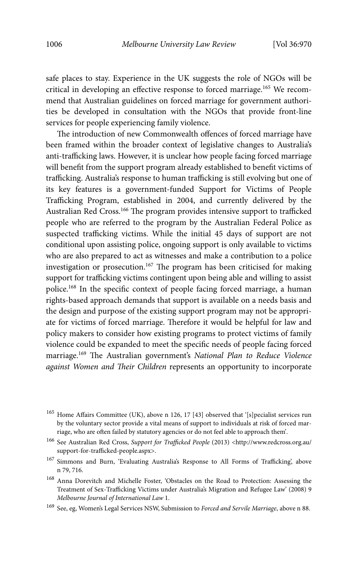safe places to stay. Experience in the UK suggests the role of NGOs will be critical in developing an effective response to forced marriage.165 We recommend that Australian guidelines on forced marriage for government authorities be developed in consultation with the NGOs that provide front-line services for people experiencing family violence.

The introduction of new Commonwealth offences of forced marriage have been framed within the broader context of legislative changes to Australia's anti-trafficking laws. However, it is unclear how people facing forced marriage will benefit from the support program already established to benefit victims of trafficking. Australia's response to human trafficking is still evolving but one of its key features is a government-funded Support for Victims of People Trafficking Program, established in 2004, and currently delivered by the Australian Red Cross.<sup>166</sup> The program provides intensive support to trafficked people who are referred to the program by the Australian Federal Police as suspected trafficking victims. While the initial 45 days of support are not conditional upon assisting police, ongoing support is only available to victims who are also prepared to act as witnesses and make a contribution to a police investigation or prosecution.167 The program has been criticised for making support for trafficking victims contingent upon being able and willing to assist police.168 In the specific context of people facing forced marriage, a human rights-based approach demands that support is available on a needs basis and the design and purpose of the existing support program may not be appropriate for victims of forced marriage. Therefore it would be helpful for law and policy makers to consider how existing programs to protect victims of family violence could be expanded to meet the specific needs of people facing forced marriage.169 The Australian government's *National Plan to Reduce Violence against Women and Their Children* represents an opportunity to incorporate

- <sup>167</sup> Simmons and Burn, 'Evaluating Australia's Response to All Forms of Trafficking', above n 79, 716.
- 168 Anna Dorevitch and Michelle Foster, 'Obstacles on the Road to Protection: Assessing the Treatment of Sex-Trafficking Victims under Australia's Migration and Refugee Law' (2008) 9 *Melbourne Journal of International Law* 1.
- 169 See, eg, Women's Legal Services NSW, Submission to *Forced and Servile Marriage*, above n 88.

<sup>165</sup> Home Affairs Committee (UK), above n 126, 17 [43] observed that '[s]pecialist services run by the voluntary sector provide a vital means of support to individuals at risk of forced marriage, who are often failed by statutory agencies or do not feel able to approach them'.

<sup>166</sup> See Australian Red Cross, *Support for Trafficked People* (2013) <http://www.redcross.org.au/ support-for-trafficked-people.aspx>.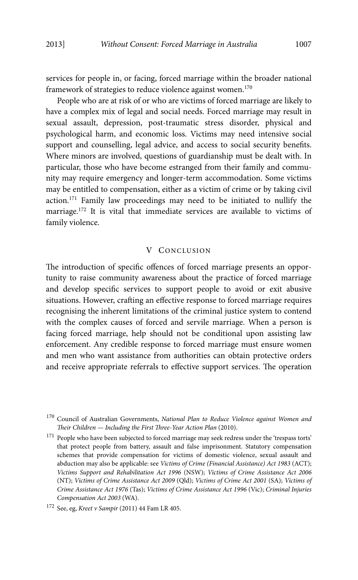services for people in, or facing, forced marriage within the broader national framework of strategies to reduce violence against women.170

People who are at risk of or who are victims of forced marriage are likely to have a complex mix of legal and social needs. Forced marriage may result in sexual assault, depression, post-traumatic stress disorder, physical and psychological harm, and economic loss. Victims may need intensive social support and counselling, legal advice, and access to social security benefits. Where minors are involved, questions of guardianship must be dealt with. In particular, those who have become estranged from their family and community may require emergency and longer-term accommodation. Some victims may be entitled to compensation, either as a victim of crime or by taking civil action.171 Family law proceedings may need to be initiated to nullify the marriage.172 It is vital that immediate services are available to victims of family violence.

#### V CONCLUSION

The introduction of specific offences of forced marriage presents an opportunity to raise community awareness about the practice of forced marriage and develop specific services to support people to avoid or exit abusive situations. However, crafting an effective response to forced marriage requires recognising the inherent limitations of the criminal justice system to contend with the complex causes of forced and servile marriage. When a person is facing forced marriage, help should not be conditional upon assisting law enforcement. Any credible response to forced marriage must ensure women and men who want assistance from authorities can obtain protective orders and receive appropriate referrals to effective support services. The operation

<sup>170</sup> Council of Australian Governments, *National Plan to Reduce Violence against Women and Their Children — Including the First Three-Year Action Plan* (2010).

 $^{171}$  People who have been subjected to forced marriage may seek redress under the 'trespass torts' that protect people from battery, assault and false imprisonment. Statutory compensation schemes that provide compensation for victims of domestic violence, sexual assault and abduction may also be applicable: see *Victims of Crime (Financial Assistance) Act 1983* (ACT); *Victims Support and Rehabilitation Act 1996* (NSW); *Victims of Crime Assistance Act 2006*  (NT); *Victims of Crime Assistance Act 2009* (Qld); *Victims of Crime Act 2001* (SA); *Victims of Crime Assistance Act 1976* (Tas); *Victims of Crime Assistance Act 1996* (Vic); *Criminal Injuries Compensation Act 2003* (WA).

<sup>172</sup> See, eg, *Kreet v Sampir* (2011) 44 Fam LR 405.